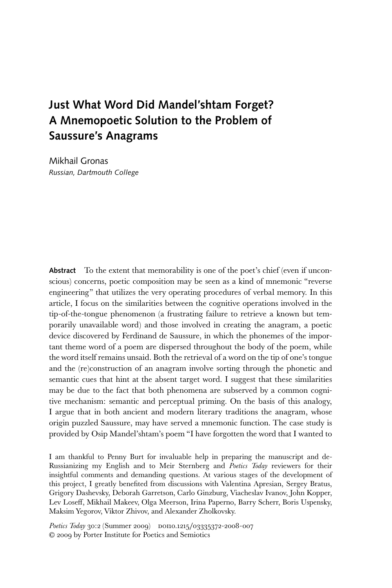# **Just What Word Did Mandel'shtam Forget? A Mnemopoetic Solution to the Problem of Saussure's Anagrams**

Mikhail Gronas *Russian, Dartmouth College*

**Abstract** To the extent that memorability is one of the poet's chief (even if unconscious) concerns, poetic composition may be seen as a kind of mnemonic "reverse engineering" that utilizes the very operating procedures of verbal memory. In this article, I focus on the similarities between the cognitive operations involved in the tip-of-the-tongue phenomenon (a frustrating failure to retrieve a known but temporarily unavailable word) and those involved in creating the anagram, a poetic device discovered by Ferdinand de Saussure, in which the phonemes of the important theme word of a poem are dispersed throughout the body of the poem, while the word itself remains unsaid. Both the retrieval of a word on the tip of one's tongue and the (re)construction of an anagram involve sorting through the phonetic and semantic cues that hint at the absent target word. I suggest that these similarities may be due to the fact that both phenomena are subserved by a common cognitive mechanism: semantic and perceptual priming. On the basis of this analogy, I argue that in both ancient and modern literary traditions the anagram, whose origin puzzled Saussure, may have served a mnemonic function. The case study is provided by Osip Mandel'shtam's poem "I have forgotten the word that I wanted to

I am thankful to Penny Burt for invaluable help in preparing the manuscript and de-Russianizing my English and to Meir Sternberg and *Poetics Today* reviewers for their insightful comments and demanding questions. At various stages of the development of this project, I greatly benefited from discussions with Valentina Apresian, Sergey Bratus, Grigory Dashevsky, Deborah Garretson, Carlo Ginzburg, Viacheslav Ivanov, John Kopper, Lev Loseff, Mikhail Makeev, Olga Meerson, Irina Paperno, Barry Scherr, Boris Uspensky, Maksim Yegorov, Viktor Zhivov, and Alexander Zholkovsky.

Poetics Today 30:2 (Summer 2009) DOI10.1215/03335372-2008-007 © 2009 by Porter Institute for Poetics and Semiotics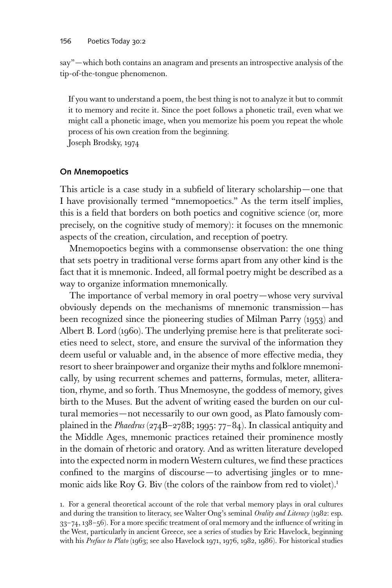say"—which both contains an anagram and presents an introspective analysis of the tip-of-the-tongue phenomenon.

If you want to understand a poem, the best thing is not to analyze it but to commit it to memory and recite it. Since the poet follows a phonetic trail, even what we might call a phonetic image, when you memorize his poem you repeat the whole process of his own creation from the beginning.

Joseph Brodsky, 1974

## **On Mnemopoetics**

This article is a case study in a subfield of literary scholarship—one that I have provisionally termed "mnemopoetics." As the term itself implies, this is a field that borders on both poetics and cognitive science (or, more precisely, on the cognitive study of memory): it focuses on the mnemonic aspects of the creation, circulation, and reception of poetry.

Mnemopoetics begins with a commonsense observation: the one thing that sets poetry in traditional verse forms apart from any other kind is the fact that it is mnemonic. Indeed, all formal poetry might be described as a way to organize information mnemonically.

The importance of verbal memory in oral poetry—whose very survival obviously depends on the mechanisms of mnemonic transmission—has been recognized since the pioneering studies of Milman Parry (1953) and Albert B. Lord (1960). The underlying premise here is that preliterate societies need to select, store, and ensure the survival of the information they deem useful or valuable and, in the absence of more effective media, they resort to sheer brainpower and organize their myths and folklore mnemonically, by using recurrent schemes and patterns, formulas, meter, alliteration, rhyme, and so forth. Thus Mnemosyne, the goddess of memory, gives birth to the Muses. But the advent of writing eased the burden on our cultural memories—not necessarily to our own good, as Plato famously complained in the *Phaedrus* (274B–278B; 1995: 77–84). In classical antiquity and the Middle Ages, mnemonic practices retained their prominence mostly in the domain of rhetoric and oratory. And as written literature developed into the expected norm in modern Western cultures, we find these practices confined to the margins of discourse—to advertising jingles or to mnemonic aids like Roy G. Biv (the colors of the rainbow from red to violet).

. For a general theoretical account of the role that verbal memory plays in oral cultures and during the transition to literacy, see Walter Ong's seminal *Orality and Literacy* (1982: esp. 33–74, 138–56). For a more specific treatment of oral memory and the influence of writing in the West, particularly in ancient Greece, see a series of studies by Eric Havelock, beginning with his *Preface to Plato* (1963; see also Havelock 1971, 1976, 1982, 1986). For historical studies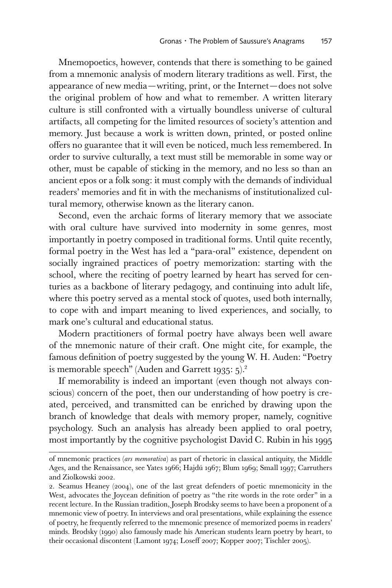Mnemopoetics, however, contends that there is something to be gained from a mnemonic analysis of modern literary traditions as well. First, the appearance of new media—writing, print, or the Internet—does not solve the original problem of how and what to remember. A written literary culture is still confronted with a virtually boundless universe of cultural artifacts, all competing for the limited resources of society's attention and memory. Just because a work is written down, printed, or posted online offers no guarantee that it will even be noticed, much less remembered. In order to survive culturally, a text must still be memorable in some way or other, must be capable of sticking in the memory, and no less so than an ancient epos or a folk song: it must comply with the demands of individual readers' memories and fit in with the mechanisms of institutionalized cultural memory, otherwise known as the literary canon.

Second, even the archaic forms of literary memory that we associate with oral culture have survived into modernity in some genres, most importantly in poetry composed in traditional forms. Until quite recently, formal poetry in the West has led a "para-oral" existence, dependent on socially ingrained practices of poetry memorization: starting with the school, where the reciting of poetry learned by heart has served for centuries as a backbone of literary pedagogy, and continuing into adult life, where this poetry served as a mental stock of quotes, used both internally, to cope with and impart meaning to lived experiences, and socially, to mark one's cultural and educational status.

Modern practitioners of formal poetry have always been well aware of the mnemonic nature of their craft. One might cite, for example, the famous definition of poetry suggested by the young W. H. Auden: "Poetry is memorable speech" (Auden and Garrett 1935: 5).

If memorability is indeed an important (even though not always conscious) concern of the poet, then our understanding of how poetry is created, perceived, and transmitted can be enriched by drawing upon the branch of knowledge that deals with memory proper, namely, cognitive psychology. Such an analysis has already been applied to oral poetry, most importantly by the cognitive psychologist David C. Rubin in his 1995

of mnemonic practices (*ars memorativa*) as part of rhetoric in classical antiquity, the Middle Ages, and the Renaissance, see Yates 1966; Hajdú 1967; Blum 1969; Small 1997; Carruthers and Ziolkowski 2002.

<sup>.</sup> Seamus Heaney (2004), one of the last great defenders of poetic mnemonicity in the West, advocates the Joycean definition of poetry as "the rite words in the rote order" in a recent lecture. In the Russian tradition, Joseph Brodsky seems to have been a proponent of a mnemonic view of poetry. In interviews and oral presentations, while explaining the essence of poetry, he frequently referred to the mnemonic presence of memorized poems in readers' minds. Brodsky (1990) also famously made his American students learn poetry by heart, to their occasional discontent (Lamont 1974; Loseff 2007; Kopper 2007; Tischler 2005).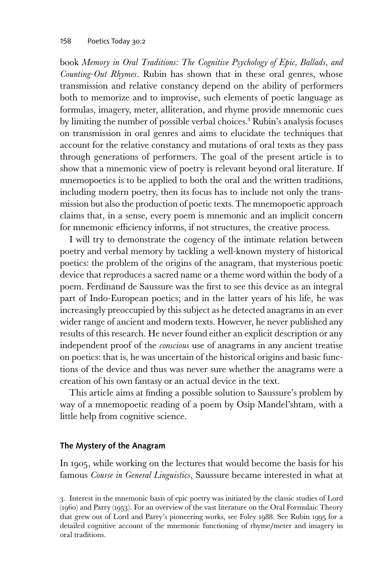book *Memory in Oral Traditions: The Cognitive Psychology of Epic, Ballads, and Counting-Out Rhymes*. Rubin has shown that in these oral genres, whose transmission and relative constancy depend on the ability of performers both to memorize and to improvise, such elements of poetic language as formulas, imagery, meter, alliteration, and rhyme provide mnemonic cues by limiting the number of possible verbal choices.<sup>3</sup> Rubin's analysis focuses on transmission in oral genres and aims to elucidate the techniques that account for the relative constancy and mutations of oral texts as they pass through generations of performers. The goal of the present article is to show that a mnemonic view of poetry is relevant beyond oral literature. If mnemopoetics is to be applied to both the oral and the written traditions, including modern poetry, then its focus has to include not only the transmission but also the production of poetic texts. The mnemopoetic approach claims that, in a sense, every poem is mnemonic and an implicit concern for mnemonic efficiency informs, if not structures, the creative process.

I will try to demonstrate the cogency of the intimate relation between poetry and verbal memory by tackling a well-known mystery of historical poetics: the problem of the origins of the anagram, that mysterious poetic device that reproduces a sacred name or a theme word within the body of a poem. Ferdinand de Saussure was the first to see this device as an integral part of Indo-European poetics; and in the latter years of his life, he was increasingly preoccupied by this subject as he detected anagrams in an ever wider range of ancient and modern texts. However, he never published any results of this research. He never found either an explicit description or any independent proof of the *conscious* use of anagrams in any ancient treatise on poetics: that is, he was uncertain of the historical origins and basic functions of the device and thus was never sure whether the anagrams were a creation of his own fantasy or an actual device in the text.

This article aims at finding a possible solution to Saussure's problem by way of a mnemopoetic reading of a poem by Osip Mandel'shtam, with a little help from cognitive science.

#### **The Mystery of the Anagram**

In 1905, while working on the lectures that would become the basis for his famous *Course in General Linguistics*, Saussure became interested in what at

<sup>.</sup> Interest in the mnemonic basis of epic poetry was initiated by the classic studies of Lord (1960) and Parry (1953). For an overview of the vast literature on the Oral Formulaic Theory that grew out of Lord and Parry's pioneering works, see Foley 1988. See Rubin 1995 for a detailed cognitive account of the mnemonic functioning of rhyme/meter and imagery in oral traditions.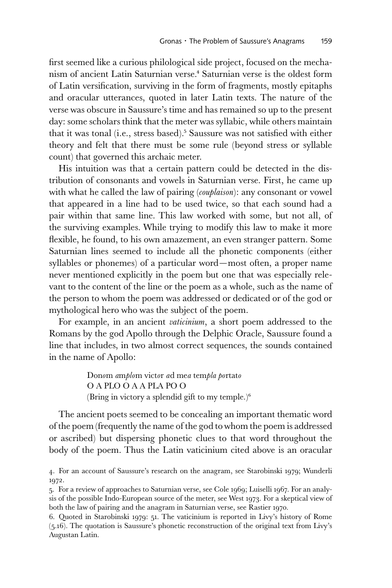first seemed like a curious philological side project, focused on the mechanism of ancient Latin Saturnian verse.<sup>4</sup> Saturnian verse is the oldest form of Latin versification, surviving in the form of fragments, mostly epitaphs and oracular utterances, quoted in later Latin texts. The nature of the verse was obscure in Saussure's time and has remained so up to the present day: some scholars think that the meter was syllabic, while others maintain that it was tonal (i.e., stress based).<sup>5</sup> Saussure was not satisfied with either theory and felt that there must be some rule (beyond stress or syllable count) that governed this archaic meter.

His intuition was that a certain pattern could be detected in the distribution of consonants and vowels in Saturnian verse. First, he came up with what he called the law of pairing (*couplaison*): any consonant or vowel that appeared in a line had to be used twice, so that each sound had a pair within that same line. This law worked with some, but not all, of the surviving examples. While trying to modify this law to make it more flexible, he found, to his own amazement, an even stranger pattern. Some Saturnian lines seemed to include all the phonetic components (either syllables or phonemes) of a particular word—most often, a proper name never mentioned explicitly in the poem but one that was especially relevant to the content of the line or the poem as a whole, such as the name of the person to whom the poem was addressed or dedicated or of the god or mythological hero who was the subject of the poem.

For example, in an ancient *vaticinium*, a short poem addressed to the Romans by the god Apollo through the Delphic Oracle, Saussure found a line that includes, in two almost correct sequences, the sounds contained in the name of Apollo:

> Don*o*m *a*m*plo*m vict*o*r *a*d me*a* tem*pla po*rtat*o* O A PLO O A A PLA PO O (Bring in victory a splendid gift to my temple.)

The ancient poets seemed to be concealing an important thematic word of the poem (frequently the name of the god to whom the poem is addressed or ascribed) but dispersing phonetic clues to that word throughout the body of the poem. Thus the Latin vaticinium cited above is an oracular

<sup>.</sup> For an account of Saussure's research on the anagram, see Starobinski 1979; Wunderli 1972.

<sup>.</sup> For a review of approaches to Saturnian verse, see Cole 1969; Luiselli 1967. For an analysis of the possible Indo-European source of the meter, see West 1973. For a skeptical view of both the law of pairing and the anagram in Saturnian verse, see Rastier 1970.

<sup>.</sup> Quoted in Starobinski 1979: 51. The vaticinium is reported in Livy's history of Rome (5.16). The quotation is Saussure's phonetic reconstruction of the original text from Livy's Augustan Latin.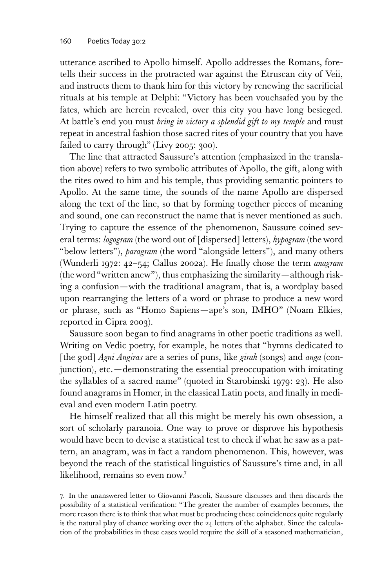utterance ascribed to Apollo himself. Apollo addresses the Romans, foretells their success in the protracted war against the Etruscan city of Veii, and instructs them to thank him for this victory by renewing the sacrificial rituals at his temple at Delphi: "Victory has been vouchsafed you by the fates, which are herein revealed, over this city you have long besieged. At battle's end you must *bring in victory a splendid gift to my temple* and must repeat in ancestral fashion those sacred rites of your country that you have failed to carry through" (Livy 2005: 300).

The line that attracted Saussure's attention (emphasized in the translation above) refers to two symbolic attributes of Apollo, the gift, along with the rites owed to him and his temple, thus providing semantic pointers to Apollo. At the same time, the sounds of the name Apollo are dispersed along the text of the line, so that by forming together pieces of meaning and sound, one can reconstruct the name that is never mentioned as such. Trying to capture the essence of the phenomenon, Saussure coined several terms: *logogram* (the word out of [dispersed] letters), *hypogram* (the word "below letters"), *paragram* (the word "alongside letters"), and many others (Wunderli 1972: 42–54; Callus 2002a). He finally chose the term *anagram* (the word "written anew"), thus emphasizing the similarity—although risking a confusion—with the traditional anagram, that is, a wordplay based upon rearranging the letters of a word or phrase to produce a new word or phrase, such as "Homo Sapiens—ape's son, IMHO" (Noam Elkies, reported in Cipra 2003).

Saussure soon began to find anagrams in other poetic traditions as well. Writing on Vedic poetry, for example, he notes that "hymns dedicated to [the god] *Agni Angiras* are a series of puns, like *girah* (songs) and *anga* (conjunction), etc.—demonstrating the essential preoccupation with imitating the syllables of a sacred name" (quoted in Starobinski 1979: 23). He also found anagrams in Homer, in the classical Latin poets, and finally in medieval and even modern Latin poetry.

He himself realized that all this might be merely his own obsession, a sort of scholarly paranoia. One way to prove or disprove his hypothesis would have been to devise a statistical test to check if what he saw as a pattern, an anagram, was in fact a random phenomenon. This, however, was beyond the reach of the statistical linguistics of Saussure's time and, in all likelihood, remains so even now.

. In the unanswered letter to Giovanni Pascoli, Saussure discusses and then discards the possibility of a statistical verification: "The greater the number of examples becomes, the more reason there is to think that what must be producing these coincidences quite regularly is the natural play of chance working over the 24 letters of the alphabet. Since the calculation of the probabilities in these cases would require the skill of a seasoned mathematician,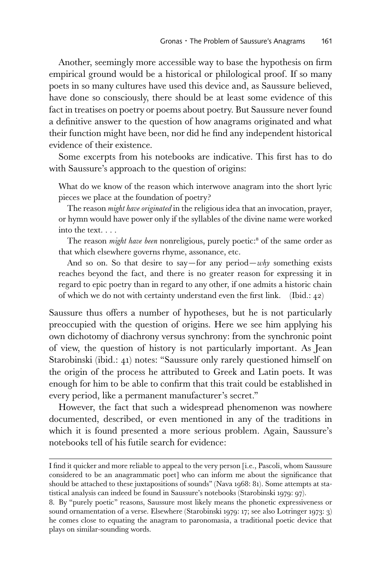Another, seemingly more accessible way to base the hypothesis on firm empirical ground would be a historical or philological proof. If so many poets in so many cultures have used this device and, as Saussure believed, have done so consciously, there should be at least some evidence of this fact in treatises on poetry or poems about poetry. But Saussure never found a definitive answer to the question of how anagrams originated and what their function might have been, nor did he find any independent historical evidence of their existence.

Some excerpts from his notebooks are indicative. This first has to do with Saussure's approach to the question of origins:

What do we know of the reason which interwove anagram into the short lyric pieces we place at the foundation of poetry?

The reason *might have originated* in the religious idea that an invocation, prayer, or hymn would have power only if the syllables of the divine name were worked into the text. . . .

The reason *might have been* nonreligious, purely poetic:<sup>8</sup> of the same order as that which elsewhere governs rhyme, assonance, etc.

And so on. So that desire to say—for any period—*why* something exists reaches beyond the fact, and there is no greater reason for expressing it in regard to epic poetry than in regard to any other, if one admits a historic chain of which we do not with certainty understand even the first link. (Ibid.: 42)

Saussure thus offers a number of hypotheses, but he is not particularly preoccupied with the question of origins. Here we see him applying his own dichotomy of diachrony versus synchrony: from the synchronic point of view, the question of history is not particularly important. As Jean Starobinski (ibid.: 41) notes: "Saussure only rarely questioned himself on the origin of the process he attributed to Greek and Latin poets. It was enough for him to be able to confirm that this trait could be established in every period, like a permanent manufacturer's secret."

However, the fact that such a widespread phenomenon was nowhere documented, described, or even mentioned in any of the traditions in which it is found presented a more serious problem. Again, Saussure's notebooks tell of his futile search for evidence:

I find it quicker and more reliable to appeal to the very person [i.e., Pascoli, whom Saussure considered to be an anagrammatic poet] who can inform me about the significance that should be attached to these juxtapositions of sounds" (Nava 1968: 81). Some attempts at statistical analysis can indeed be found in Saussure's notebooks (Starobinski 1979: 97).

<sup>.</sup> By "purely poetic" reasons, Saussure most likely means the phonetic expressiveness or sound ornamentation of a verse. Elsewhere (Starobinski 1979: 17; see also Lotringer 1973: 3) he comes close to equating the anagram to paronomasia, a traditional poetic device that plays on similar-sounding words.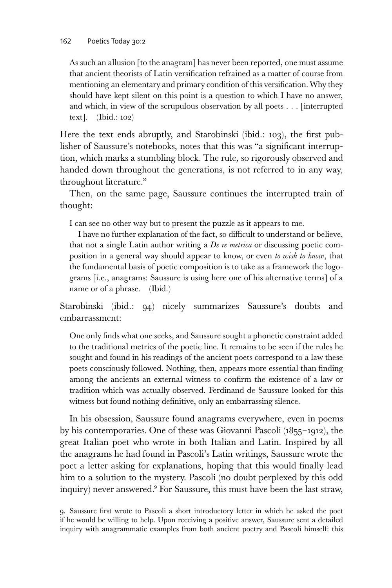As such an allusion [to the anagram] has never been reported, one must assume that ancient theorists of Latin versification refrained as a matter of course from mentioning an elementary and primary condition of this versification. Why they should have kept silent on this point is a question to which I have no answer, and which, in view of the scrupulous observation by all poets . . . [interrupted text]. (Ibid.: 102)

Here the text ends abruptly, and Starobinski (ibid.: 103), the first publisher of Saussure's notebooks, notes that this was "a significant interruption, which marks a stumbling block. The rule, so rigorously observed and handed down throughout the generations, is not referred to in any way, throughout literature."

Then, on the same page, Saussure continues the interrupted train of thought:

I can see no other way but to present the puzzle as it appears to me.

I have no further explanation of the fact, so difficult to understand or believe, that not a single Latin author writing a *De re metrica* or discussing poetic composition in a general way should appear to know, or even *to wish to know*, that the fundamental basis of poetic composition is to take as a framework the logograms [i.e., anagrams: Saussure is using here one of his alternative terms] of a name or of a phrase. (Ibid.)

Starobinski (ibid.: 94) nicely summarizes Saussure's doubts and embarrassment:

One only finds what one seeks, and Saussure sought a phonetic constraint added to the traditional metrics of the poetic line. It remains to be seen if the rules he sought and found in his readings of the ancient poets correspond to a law these poets consciously followed. Nothing, then, appears more essential than finding among the ancients an external witness to confirm the existence of a law or tradition which was actually observed. Ferdinand de Saussure looked for this witness but found nothing definitive, only an embarrassing silence.

In his obsession, Saussure found anagrams everywhere, even in poems by his contemporaries. One of these was Giovanni Pascoli (1855–1912), the great Italian poet who wrote in both Italian and Latin. Inspired by all the anagrams he had found in Pascoli's Latin writings, Saussure wrote the poet a letter asking for explanations, hoping that this would finally lead him to a solution to the mystery. Pascoli (no doubt perplexed by this odd inquiry) never answered.<sup>9</sup> For Saussure, this must have been the last straw,

<sup>.</sup> Saussure first wrote to Pascoli a short introductory letter in which he asked the poet if he would be willing to help. Upon receiving a positive answer, Saussure sent a detailed inquiry with anagrammatic examples from both ancient poetry and Pascoli himself: this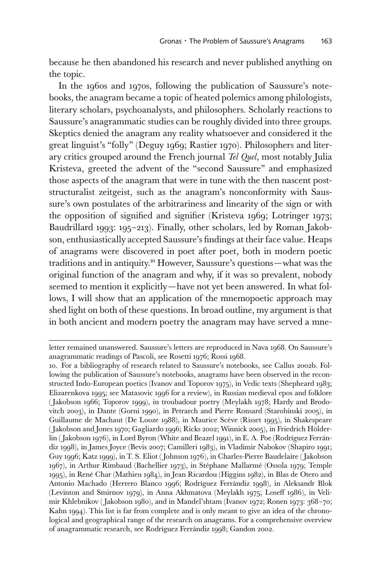because he then abandoned his research and never published anything on the topic.

In the 1960s and 1970s, following the publication of Saussure's notebooks, the anagram became a topic of heated polemics among philologists, literary scholars, psychoanalysts, and philosophers. Scholarly reactions to Saussure's anagrammatic studies can be roughly divided into three groups. Skeptics denied the anagram any reality whatsoever and considered it the great linguist's "folly" (Deguy 1969; Rastier 1970). Philosophers and literary critics grouped around the French journal *Tel Quel*, most notably Julia Kristeva, greeted the advent of the "second Saussure" and emphasized those aspects of the anagram that were in tune with the then nascent poststructuralist zeitgeist, such as the anagram's nonconformity with Saussure's own postulates of the arbitrariness and linearity of the sign or with the opposition of signified and signifier (Kristeva 1969; Lotringer 1973; Baudrillard 1993: 195–213). Finally, other scholars, led by Roman Jakobson, enthusiastically accepted Saussure's findings at their face value. Heaps of anagrams were discovered in poet after poet, both in modern poetic traditions and in antiquity.10 However, Saussure's questions—what was the original function of the anagram and why, if it was so prevalent, nobody seemed to mention it explicitly—have not yet been answered. In what follows, I will show that an application of the mnemopoetic approach may shed light on both of these questions. In broad outline, my argument is that in both ancient and modern poetry the anagram may have served a mne-

letter remained unanswered. Saussure's letters are reproduced in Nava 1968. On Saussure's anagrammatic readings of Pascoli, see Rosetti 1976; Rossi 1968.

<sup>10.</sup> For a bibliography of research related to Saussure's notebooks, see Callus 2002b. Following the publication of Saussure's notebooks, anagrams have been observed in the reconstructed Indo-European poetics (Ivanov and Toporov 1975), in Vedic texts (Shepheard 1983; Elizarenkova 1995; see Matasovic 1996 for a review), in Russian medieval epos and folklore ( Jakobson 1966; Toporov 1999), in troubadour poetry (Meylakh 1978; Hardy and Brodovitch 2003), in Dante (Gorni 1990), in Petrarch and Pierre Ronsard (Starobinski 2005), in Guillaume de Machaut (De Looze 1988), in Maurice Scève (Risset 1995), in Shakespeare ( Jakobson and Jones 1970; Gagliardo 1996; Ricks 2002; Winnick 2005), in Friedrich Hölderlin ( Jakobson 1976), in Lord Byron (White and Beazel 1991), in E. A. Poe (Rodríguez Ferrándiz 1998), in James Joyce (Bevis 2007; Camilleri 1983), in Vladimir Nabokov (Shapiro 1991; Guy 1996; Katz 1999), in T. S. Eliot ( Johnson 1976), in Charles-Pierre Baudelaire ( Jakobson 1967), in Arthur Rimbaud (Bachellier 1973), in Stéphane Mallarmé (Ossola 1979; Temple 1995), in René Char (Mathieu 1984), in Jean Ricardou (Higgins 1982), in Blas de Otero and Antonio Machado (Herrero Blanco 1996; Rodríguez Ferrándiz 1998), in Aleksandr Blok (Levinton and Smirnov 1979), in Anna Akhmatova (Meylakh 1975; Loseff 1986), in Velimir Khlebnikov ( Jakobson 1980), and in Mandel'shtam (Ivanov 1972; Ronen 1973: 368–70; Kahn 1994). This list is far from complete and is only meant to give an idea of the chronological and geographical range of the research on anagrams. For a comprehensive overview of anagrammatic research, see Rodríguez Ferrándiz 1998; Gandon 2002.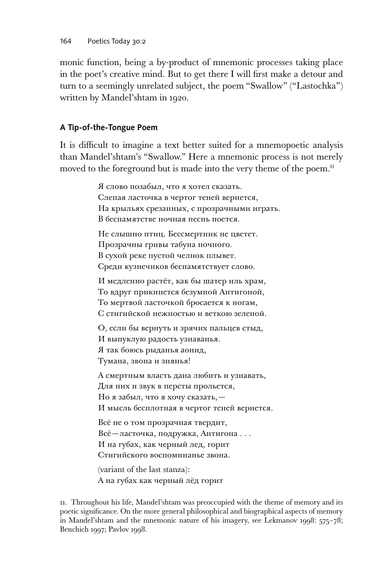monic function, being a by-product of mnemonic processes taking place in the poet's creative mind. But to get there I will first make a detour and turn to a seemingly unrelated subject, the poem "Swallow" ("Lastochka") written by Mandel'shtam in 1920.

## **A Tip-of-the-Tongue Poem**

It is difficult to imagine a text better suited for a mnemopoetic analysis than Mandel'shtam's "Swallow." Here a mnemonic process is not merely moved to the foreground but is made into the very theme of the poem.<sup>11</sup>

> Я слово позабыл, что я хотел сказать. Слепая ласточка в чертог теней вернется, На крыльях срезанных, с прозрачными играть. B беспамятстве ночная песнь поется. Не слышно птиц. Бессмертник не цветет. Прозрачны гривы табуна ночного. B сухой реке пустой челнок плывет. Среди кузнечиков беспамятствует слово. И медленно растёт, как бы шатер иль храм, То вдруг прикинется безумной Антигоной, То мертвой ласточкой бросается к ногам, С стигийской нежностью и веткою зеленой. О, если бы вернуть и зрячих пальцев стыд, И выпуклую радость узнаванья. Я так боюсь рыданья аонид, Тумана, звона и зиянья! А смертным власть дана любить и узнавать, Для них и звук в персты прольется, Но я забыл, что я хочу сказать,— И мысль бесплотная в чертог теней вернется. Bсё не о том прозрачная твердит, Всё—ласточка, подружка, Антигона . . . И на губах, как черный лед, горит Стигийского воспоминанье звона. (variant of the last stanza):

А на губах как черный лёд горит

11. Throughout his life, Mandel'shtam was preoccupied with the theme of memory and its poetic significance. On the more general philosophical and biographical aspects of memory in Mandel'shtam and the mnemonic nature of his imagery, see Lekmanov 1998: 575–78; Benchich 1997; Pavlov 1998.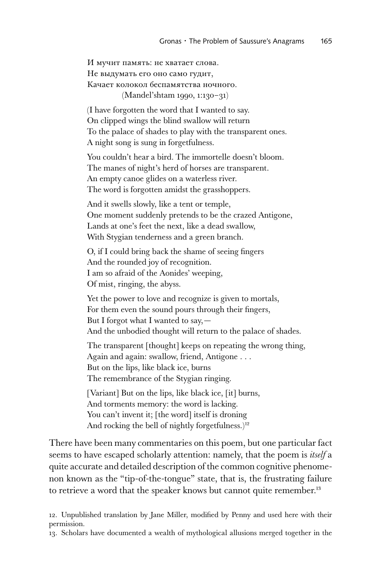И мучит память: не хватает слова. Не выдумать его оно само гудит, Качает колокол беспамятства ночного. (Mandel'shtam 1990, 1:130–31)

(I have forgotten the word that I wanted to say. On clipped wings the blind swallow will return To the palace of shades to play with the transparent ones. A night song is sung in forgetfulness.

You couldn't hear a bird. The immortelle doesn't bloom. The manes of night's herd of horses are transparent. An empty canoe glides on a waterless river. The word is forgotten amidst the grasshoppers.

And it swells slowly, like a tent or temple, One moment suddenly pretends to be the crazed Antigone, Lands at one's feet the next, like a dead swallow, With Stygian tenderness and a green branch.

O, if I could bring back the shame of seeing fingers And the rounded joy of recognition. I am so afraid of the Aonides' weeping, Of mist, ringing, the abyss.

Yet the power to love and recognize is given to mortals, For them even the sound pours through their fingers, But I forgot what I wanted to say,— And the unbodied thought will return to the palace of shades.

The transparent [thought] keeps on repeating the wrong thing, Again and again: swallow, friend, Antigone . . . But on the lips, like black ice, burns The remembrance of the Stygian ringing.

[Variant] But on the lips, like black ice, [it] burns, And torments memory: the word is lacking. You can't invent it; [the word] itself is droning And rocking the bell of nightly forgetfulness.)<sup>12</sup>

There have been many commentaries on this poem, but one particular fact seems to have escaped scholarly attention: namely, that the poem is *itself* a quite accurate and detailed description of the common cognitive phenomenon known as the "tip-of-the-tongue" state, that is, the frustrating failure to retrieve a word that the speaker knows but cannot quite remember.<sup>13</sup>

13. Scholars have documented a wealth of mythological allusions merged together in the

<sup>12.</sup> Unpublished translation by Jane Miller, modified by Penny and used here with their permission.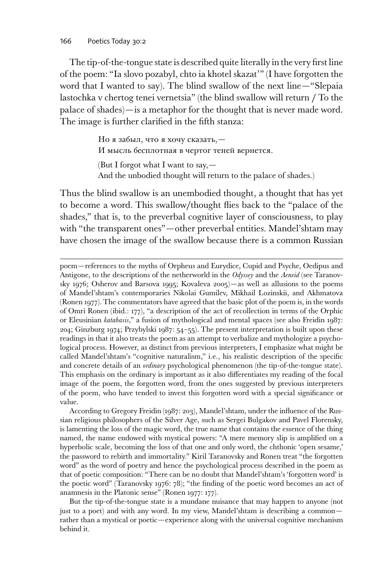The tip-of-the-tongue state is described quite literally in the very first line of the poem: "Ia slovo pozabyl, chto ia khotel skazat'" (I have forgotten the word that I wanted to say). The blind swallow of the next line—"Slepaia lastochka v chertog tenei vernetsia" (the blind swallow will return / To the palace of shades)—is a metaphor for the thought that is never made word. The image is further clarified in the fifth stanza:

> Но я забыл, что я хочу сказать,— И мысль бесплотная в чертог теней вернется. (But I forgot what I want to say,— And the unbodied thought will return to the palace of shades.)

Thus the blind swallow is an unembodied thought, a thought that has yet to become a word. This swallow/thought flies back to the "palace of the shades," that is, to the preverbal cognitive layer of consciousness, to play with "the transparent ones"—other preverbal entities. Mandel'shtam may have chosen the image of the swallow because there is a common Russian

poem—references to the myths of Orpheus and Eurydice, Cupid and Psyche, Oedipus and Antigone, to the descriptions of the netherworld in the *Odyssey* and the *Aeneid* (see Taranovsky 1976; Osherov and Barsova 1995; Kovaleva 2005)—as well as allusions to the poems of Mandel'shtam's contemporaries Nikolai Gumilev, Mikhail Lozinskii, and Akhmatova (Ronen 1977). The commentators have agreed that the basic plot of the poem is, in the words of Omri Ronen (ibid.: 177), "a description of the act of recollection in terms of the Orphic or Eleusinian *katabasis*," a fusion of mythological and mental spaces (see also Freidin 1987: 204; Ginzburg 1974; Przybylski 1987: 54–55). The present interpretation is built upon these readings in that it also treats the poem as an attempt to verbalize and mythologize a psychological process. However, as distinct from previous interpreters, I emphasize what might be called Mandel'shtam's "cognitive naturalism," i.e., his realistic description of the specific and concrete details of an *ordinary* psychological phenomenon (the tip-of-the-tongue state). This emphasis on the ordinary is important as it also differentiates my reading of the focal image of the poem, the forgotten word, from the ones suggested by previous interpreters of the poem, who have tended to invest this forgotten word with a special significance or value.

According to Gregory Freidin (1987: 203), Mandel'shtam, under the influence of the Russian religious philosophers of the Silver Age, such as Sergei Bulgakov and Pavel Florensky, is lamenting the loss of the magic word, the true name that contains the essence of the thing named, the name endowed with mystical powers: "A mere memory slip is amplified on a hyperbolic scale, becoming the loss of that one and only word, the chthonic 'open sesame,' the password to rebirth and immortality." Kiril Taranovsky and Ronen treat "the forgotten word" as the word of poetry and hence the psychological process described in the poem as that of poetic composition: "There can be no doubt that Mandel'shtam's 'forgotten word' is the poetic word" (Taranovsky 1976: 78); "the finding of the poetic word becomes an act of anamnesis in the Platonic sense" (Ronen 1977: 177).

But the tip-of-the-tongue state is a mundane nuisance that may happen to anyone (not just to a poet) and with any word. In my view, Mandel'shtam is describing a common rather than a mystical or poetic—experience along with the universal cognitive mechanism behind it.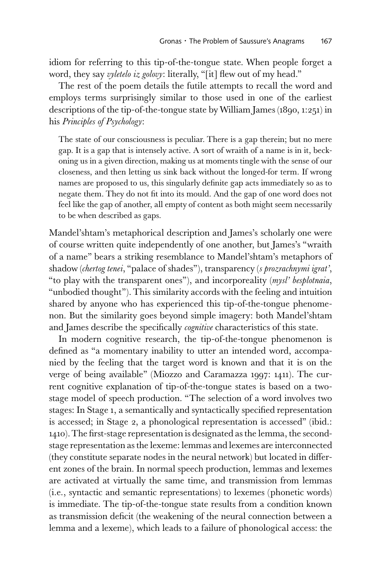idiom for referring to this tip-of-the-tongue state. When people forget a word, they say *vyletelo iz golovy*: literally, "[it] flew out of my head."

The rest of the poem details the futile attempts to recall the word and employs terms surprisingly similar to those used in one of the earliest descriptions of the tip-of-the-tongue state by William James (1890, 1:251) in his *Principles of Psychology*:

The state of our consciousness is peculiar. There is a gap therein; but no mere gap. It is a gap that is intensely active. A sort of wraith of a name is in it, beckoning us in a given direction, making us at moments tingle with the sense of our closeness, and then letting us sink back without the longed-for term. If wrong names are proposed to us, this singularly definite gap acts immediately so as to negate them. They do not fit into its mould. And the gap of one word does not feel like the gap of another, all empty of content as both might seem necessarily to be when described as gaps.

Mandel'shtam's metaphorical description and James's scholarly one were of course written quite independently of one another, but James's "wraith of a name" bears a striking resemblance to Mandel'shtam's metaphors of shadow (*chertog tenei*, "palace of shades"), transparency (*s prozrachnymi igrat'*, "to play with the transparent ones"), and incorporeality (*mysl' besplotnaia*, "unbodied thought"). This similarity accords with the feeling and intuition shared by anyone who has experienced this tip-of-the-tongue phenomenon. But the similarity goes beyond simple imagery: both Mandel'shtam and James describe the specifically *cognitive* characteristics of this state.

In modern cognitive research, the tip-of-the-tongue phenomenon is defined as "a momentary inability to utter an intended word, accompanied by the feeling that the target word is known and that it is on the verge of being available" (Miozzo and Caramazza 1997: 1411). The current cognitive explanation of tip-of-the-tongue states is based on a twostage model of speech production. "The selection of a word involves two stages: In Stage 1, a semantically and syntactically specified representation is accessed; in Stage 2, a phonological representation is accessed" (ibid.: 1410). The first-stage representation is designated as the lemma, the secondstage representation as the lexeme: lemmas and lexemes are interconnected (they constitute separate nodes in the neural network) but located in different zones of the brain. In normal speech production, lemmas and lexemes are activated at virtually the same time, and transmission from lemmas (i.e., syntactic and semantic representations) to lexemes (phonetic words) is immediate. The tip-of-the-tongue state results from a condition known as transmission deficit (the weakening of the neural connection between a lemma and a lexeme), which leads to a failure of phonological access: the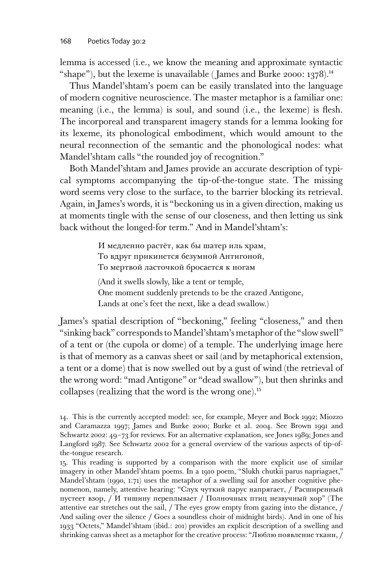lemma is accessed (i.e., we know the meaning and approximate syntactic "shape"), but the lexeme is unavailable (James and Burke 2000: 1378).<sup>14</sup>

Thus Mandel'shtam's poem can be easily translated into the language of modern cognitive neuroscience. The master metaphor is a familiar one: meaning (i.e., the lemma) is soul, and sound (i.e., the lexeme) is flesh. The incorporeal and transparent imagery stands for a lemma looking for its lexeme, its phonological embodiment, which would amount to the neural reconnection of the semantic and the phonological nodes: what Mandel'shtam calls "the rounded joy of recognition."

Both Mandel'shtam and James provide an accurate description of typical symptoms accompanying the tip-of-the-tongue state. The missing word seems very close to the surface, to the barrier blocking its retrieval. Again, in James's words, it is "beckoning us in a given direction, making us at moments tingle with the sense of our closeness, and then letting us sink back without the longed-for term." And in Mandel'shtam's:

> И медленно растёт, как бы шатер иль храм, То вдруг прикинется безумной Антигоной, То мертвой ласточкой бросается к ногам

(And it swells slowly, like a tent or temple, One moment suddenly pretends to be the crazed Antigone, Lands at one's feet the next, like a dead swallow.)

James's spatial description of "beckoning," feeling "closeness," and then "sinking back" corresponds to Mandel'shtam's metaphor of the "slow swell" of a tent or (the cupola or dome) of a temple. The underlying image here is that of memory as a canvas sheet or sail (and by metaphorical extension, a tent or a dome) that is now swelled out by a gust of wind (the retrieval of the wrong word: "mad Antigone" or "dead swallow"), but then shrinks and collapses (realizing that the word is the wrong one).15

15. This reading is supported by a comparison with the more explicit use of similar imagery in other Mandel'shtam poems. In a 1910 poem, "Slukh chutkii parus napriagaet," Mandel'shtam (1990, 1:71) uses the metaphor of a swelling sail for another cognitive phenomenon, namely, attentive hearing: "Слух чуткий парус напрягает, / Расширенный пустеет взор, / И тишину переплывает / Полночных птиц незвучный хор" (The attentive ear stretches out the sail, / The eyes grow empty from gazing into the distance, / And sailing over the silence / Goes a soundless choir of midnight birds). And in one of his 1933 "Octets," Mandel'shtam (ibid.: 201) provides an explicit description of a swelling and shrinking canvas sheet as a metaphor for the creative process: "Люблю появление ткани, /

<sup>14.</sup> This is the currently accepted model: see, for example, Meyer and Bock 1992; Miozzo and Caramazza 1997; James and Burke 2000; Burke et al. 2004. See Brown 1991 and Schwartz 2002: 49–73 for reviews. For an alternative explanation, see Jones 1989; Jones and Langford 1987. See Schwartz 2002 for a general overview of the various aspects of tip-ofthe-tongue research.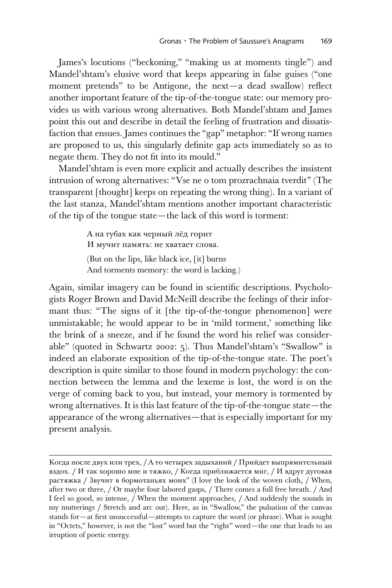James's locutions ("beckoning," "making us at moments tingle") and Mandel'shtam's elusive word that keeps appearing in false guises ("one moment pretends" to be Antigone, the next—a dead swallow) reflect another important feature of the tip-of-the-tongue state: our memory provides us with various wrong alternatives. Both Mandel'shtam and James point this out and describe in detail the feeling of frustration and dissatisfaction that ensues. James continues the "gap" metaphor: "If wrong names are proposed to us, this singularly definite gap acts immediately so as to negate them. They do not fit into its mould."

Mandel'shtam is even more explicit and actually describes the insistent intrusion of wrong alternatives: "Vse ne o tom prozrachnaia tverdit" (The transparent [thought] keeps on repeating the wrong thing). In a variant of the last stanza, Mandel'shtam mentions another important characteristic of the tip of the tongue state—the lack of this word is torment:

> А на губах как черный лёд горит И мучит память: не хватает слова. (But on the lips, like black ice, [it] burns And torments memory: the word is lacking.)

Again, similar imagery can be found in scientific descriptions. Psychologists Roger Brown and David McNeill describe the feelings of their informant thus: "The signs of it [the tip-of-the-tongue phenomenon] were unmistakable; he would appear to be in 'mild torment,' something like the brink of a sneeze, and if he found the word his relief was considerable" (quoted in Schwartz 2002: 5). Thus Mandel'shtam's "Swallow" is indeed an elaborate exposition of the tip-of-the-tongue state. The poet's description is quite similar to those found in modern psychology: the connection between the lemma and the lexeme is lost, the word is on the verge of coming back to you, but instead, your memory is tormented by wrong alternatives. It is this last feature of the tip-of-the-tongue state—the appearance of the wrong alternatives—that is especially important for my present analysis.

Когда после двух или трех, / А то четырех задыханий / Прийдет выпрямительный вздох. / И так хорошо мне и тяжко, / Когда приближается миг, / И вдруг дуговая растяжка / Звучит в бормотаньях моих" (I love the look of the woven cloth, / When, after two or three, / Or maybe four labored gasps, / There comes a full free breath. / And I feel so good, so intense, / When the moment approaches, / And suddenly the sounds in my mutterings / Stretch and arc out). Here, as in "Swallow," the pulsation of the canvas stands for—at first unsuccessful—attempts to capture the word (or phrase). What is sought in "Octets," however, is not the "lost" word but the "right" word—the one that leads to an irruption of poetic energy.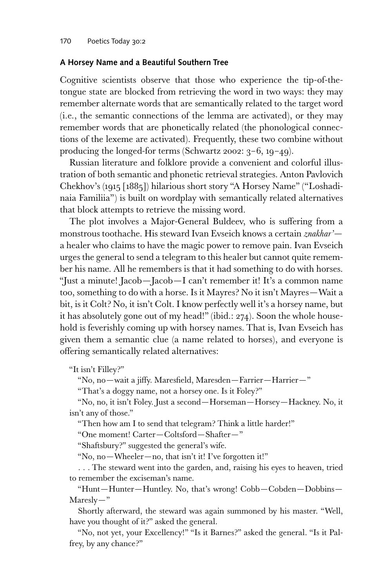#### **A Horsey Name and a Beautiful Southern Tree**

Cognitive scientists observe that those who experience the tip-of-thetongue state are blocked from retrieving the word in two ways: they may remember alternate words that are semantically related to the target word (i.e., the semantic connections of the lemma are activated), or they may remember words that are phonetically related (the phonological connections of the lexeme are activated). Frequently, these two combine without producing the longed-for terms (Schwartz 2002: 3–6, 19–49).

Russian literature and folklore provide a convenient and colorful illustration of both semantic and phonetic retrieval strategies. Anton Pavlovich Chekhov's (1915 [1885]) hilarious short story "A Horsey Name" ("Loshadinaia Familiia") is built on wordplay with semantically related alternatives that block attempts to retrieve the missing word.

The plot involves a Major-General Buldeev, who is suffering from a monstrous toothache. His steward Ivan Evseich knows a certain *znakhar'* a healer who claims to have the magic power to remove pain. Ivan Evseich urges the general to send a telegram to this healer but cannot quite remember his name. All he remembers is that it had something to do with horses. "Just a minute! Jacob—Jacob—I can't remember it! It's a common name too, something to do with a horse. Is it Mayres? No it isn't Mayres—Wait a bit, is it Colt? No, it isn't Colt. I know perfectly well it's a horsey name, but it has absolutely gone out of my head!" (ibid.: 274). Soon the whole household is feverishly coming up with horsey names. That is, Ivan Evseich has given them a semantic clue (a name related to horses), and everyone is offering semantically related alternatives:

"It isn't Filley?"

"No, no—wait a jiffy. Maresfield, Maresden—Farrier—Harrier—"

"That's a doggy name, not a horsey one. Is it Foley?"

"No, no, it isn't Foley. Just a second—Horseman—Horsey—Hackney. No, it isn't any of those."

"Then how am I to send that telegram? Think a little harder!"

"One moment! Carter—Coltsford—Shafter—"

"Shaftsbury?" suggested the general's wife.

"No, no—Wheeler—no, that isn't it! I've forgotten it!"

. . . The steward went into the garden, and, raising his eyes to heaven, tried to remember the exciseman's name.

"Hunt—Hunter—Huntley. No, that's wrong! Cobb—Cobden—Dobbins— Maresly—"

Shortly afterward, the steward was again summoned by his master. "Well, have you thought of it?" asked the general.

"No, not yet, your Excellency!" "Is it Barnes?" asked the general. "Is it Palfrey, by any chance?"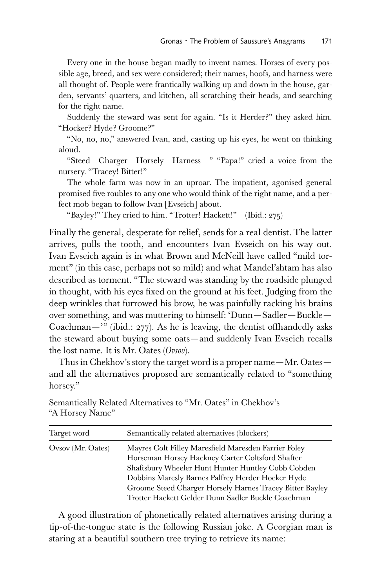Every one in the house began madly to invent names. Horses of every possible age, breed, and sex were considered; their names, hoofs, and harness were all thought of. People were frantically walking up and down in the house, garden, servants' quarters, and kitchen, all scratching their heads, and searching for the right name.

Suddenly the steward was sent for again. "Is it Herder?" they asked him. "Hocker? Hyde? Groome?"

"No, no, no," answered Ivan, and, casting up his eyes, he went on thinking aloud.

"Steed—Charger—Horsely—Harness—" "Papa!" cried a voice from the nursery. "Tracey! Bitter!"

The whole farm was now in an uproar. The impatient, agonised general promised five roubles to any one who would think of the right name, and a perfect mob began to follow Ivan [Evseich] about.

"Bayley!" They cried to him. "Trotter! Hackett!" (Ibid.: 275)

Finally the general, desperate for relief, sends for a real dentist. The latter arrives, pulls the tooth, and encounters Ivan Evseich on his way out. Ivan Evseich again is in what Brown and McNeill have called "mild torment" (in this case, perhaps not so mild) and what Mandel'shtam has also described as torment. "The steward was standing by the roadside plunged in thought, with his eyes fixed on the ground at his feet. Judging from the deep wrinkles that furrowed his brow, he was painfully racking his brains over something, and was muttering to himself: 'Dunn—Sadler—Buckle— Coachman—"" (ibid.:  $277$ ). As he is leaving, the dentist offhandedly asks the steward about buying some oats—and suddenly Ivan Evseich recalls the lost name. It is Mr. Oates (*Ovsov*).

Thus in Chekhov's story the target word is a proper name—Mr. Oates and all the alternatives proposed are semantically related to "something horsey."

| Target word       | Semantically related alternatives (blockers)             |
|-------------------|----------------------------------------------------------|
| Ovsov (Mr. Oates) | Mayres Colt Filley Maresfield Maresden Farrier Foley     |
|                   | Horseman Horsey Hackney Carter Coltsford Shafter         |
|                   | Shaftsbury Wheeler Hunt Hunter Huntley Cobb Cobden       |
|                   | Dobbins Maresly Barnes Palfrey Herder Hocker Hyde        |
|                   | Groome Steed Charger Horsely Harnes Tracey Bitter Bayley |
|                   | Trotter Hackett Gelder Dunn Sadler Buckle Coachman       |

Semantically Related Alternatives to "Mr. Oates" in Chekhov's "A Horsey Name"

A good illustration of phonetically related alternatives arising during a tip-of-the-tongue state is the following Russian joke. A Georgian man is staring at a beautiful southern tree trying to retrieve its name: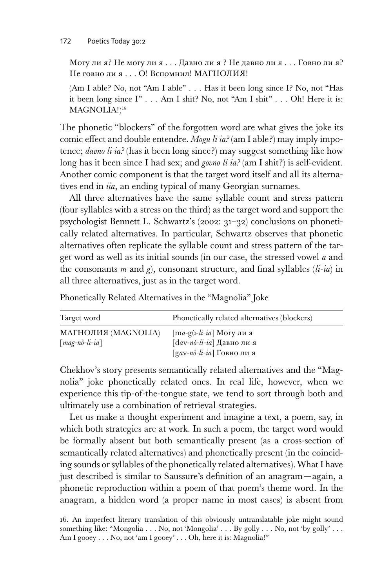Могу ли я? Не могу ли я . . . Давно ли я ? Не давно ли я . . . Говно ли я? Не говно ли я . . . О! Вспомнил! МАГНОЛИЯ!

(Am I able? No, not "Am I able" . . . Has it been long since I? No, not "Has it been long since I" . . . Am I shit? No, not "Am I shit" . . . Oh! Here it is: MAGNOLIA!)<sup>16</sup>

The phonetic "blockers" of the forgotten word are what gives the joke its comic effect and double entendre. *Mogu li ia?* (am I able?) may imply impotence; *davno li ia?* (has it been long since?) may suggest something like how long has it been since I had sex; and *govno li ia?* (am I shit?) is self-evident. Another comic component is that the target word itself and all its alternatives end in *iia*, an ending typical of many Georgian surnames.

All three alternatives have the same syllable count and stress pattern (four syllables with a stress on the third) as the target word and support the psychologist Bennett L. Schwartz's (2002: 31–32) conclusions on phonetically related alternatives. In particular, Schwartz observes that phonetic alternatives often replicate the syllable count and stress pattern of the target word as well as its initial sounds (in our case, the stressed vowel *a* and the consonants *m* and *g*), consonant structure, and final syllables (*li-ia*) in all three alternatives, just as in the target word.

Phonetically Related Alternatives in the "Magnolia" Joke

| Target word                                                  | Phonetically related alternatives (blockers)                                                                                                                                                      |
|--------------------------------------------------------------|---------------------------------------------------------------------------------------------------------------------------------------------------------------------------------------------------|
| МАГНОЛИЯ (MAGNOLIA)<br>$\lceil$ <i>mag-nò-li-ia</i> $\rceil$ | $\lceil \text{ma-gù-} \text{li-ia} \rceil$ Могу ли я<br>$\lceil \text{d}a\text{v} \cdot n\hat{o} \cdot l\hat{i} \cdot ia \rceil$ Давно ли я<br>$\lceil \text{gav-nò-}li$ - <i>ia</i> ] Говно ли я |

Chekhov's story presents semantically related alternatives and the "Magnolia" joke phonetically related ones. In real life, however, when we experience this tip-of-the-tongue state, we tend to sort through both and ultimately use a combination of retrieval strategies.

Let us make a thought experiment and imagine a text, a poem, say, in which both strategies are at work. In such a poem, the target word would be formally absent but both semantically present (as a cross-section of semantically related alternatives) and phonetically present (in the coinciding sounds or syllables of the phonetically related alternatives). What I have just described is similar to Saussure's definition of an anagram—again, a phonetic reproduction within a poem of that poem's theme word. In the anagram, a hidden word (a proper name in most cases) is absent from

<sup>16.</sup> An imperfect literary translation of this obviously untranslatable joke might sound something like: "Mongolia . . . No, not 'Mongolia' . . . By golly . . . No, not 'by golly' . . . Am I gooey . . . No, not 'am I gooey' . . . Oh, here it is: Magnolia!"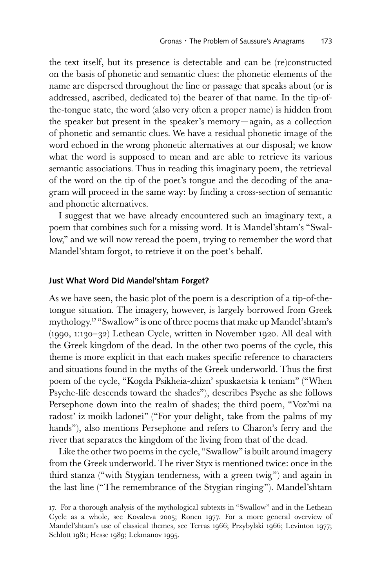the text itself, but its presence is detectable and can be (re)constructed on the basis of phonetic and semantic clues: the phonetic elements of the name are dispersed throughout the line or passage that speaks about (or is addressed, ascribed, dedicated to) the bearer of that name. In the tip-ofthe-tongue state, the word (also very often a proper name) is hidden from the speaker but present in the speaker's memory—again, as a collection of phonetic and semantic clues. We have a residual phonetic image of the word echoed in the wrong phonetic alternatives at our disposal; we know what the word is supposed to mean and are able to retrieve its various semantic associations. Thus in reading this imaginary poem, the retrieval of the word on the tip of the poet's tongue and the decoding of the anagram will proceed in the same way: by finding a cross-section of semantic and phonetic alternatives.

I suggest that we have already encountered such an imaginary text, a poem that combines such for a missing word. It is Mandel'shtam's "Swallow," and we will now reread the poem, trying to remember the word that Mandel'shtam forgot, to retrieve it on the poet's behalf.

## **Just What Word Did Mandel'shtam Forget?**

As we have seen, the basic plot of the poem is a description of a tip-of-thetongue situation. The imagery, however, is largely borrowed from Greek mythology.17 "Swallow" is one of three poems that make up Mandel'shtam's (1990, 1:130–32) Lethean Cycle, written in November 1920. All deal with the Greek kingdom of the dead. In the other two poems of the cycle, this theme is more explicit in that each makes specific reference to characters and situations found in the myths of the Greek underworld. Thus the first poem of the cycle, "Kogda Psikheia-zhizn' spuskaetsia k teniam" ("When Psyche-life descends toward the shades"), describes Psyche as she follows Persephone down into the realm of shades; the third poem, "Voz'mi na radost' iz moikh ladonei" ("For your delight, take from the palms of my hands"), also mentions Persephone and refers to Charon's ferry and the river that separates the kingdom of the living from that of the dead.

Like the other two poems in the cycle, "Swallow" is built around imagery from the Greek underworld. The river Styx is mentioned twice: once in the third stanza ("with Stygian tenderness, with a green twig") and again in the last line ("The remembrance of the Stygian ringing"). Mandel'shtam

<sup>17.</sup> For a thorough analysis of the mythological subtexts in "Swallow" and in the Lethean Cycle as a whole, see Kovaleva 2005; Ronen 1977. For a more general overview of Mandel'shtam's use of classical themes, see Terras 1966; Przybylski 1966; Levinton 1977; Schlott 1981; Hesse 1989; Lekmanov 1995.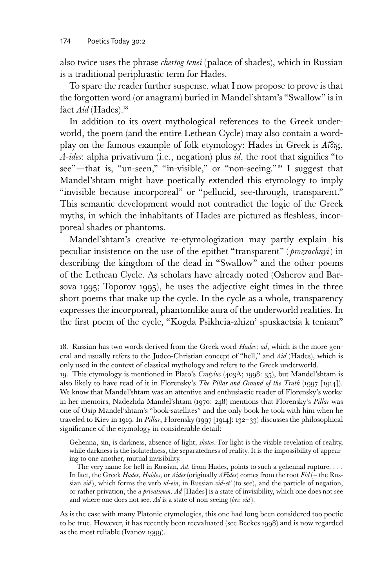also twice uses the phrase *chertog tenei* (palace of shades), which in Russian is a traditional periphrastic term for Hades.

To spare the reader further suspense, what I now propose to prove is that the forgotten word (or anagram) buried in Mandel'shtam's "Swallow" is in fact *Aid* (Hades).<sup>18</sup>

In addition to its overt mythological references to the Greek underworld, the poem (and the entire Lethean Cycle) may also contain a wordplay on the famous example of folk etymology: Hades in Greek is Αΐδης, *A-ides*: alpha privativum (i.e., negation) plus *id*, the root that signifies "to see"—that is, "un-seen," "in-visible," or "non-seeing."19 I suggest that Mandel'shtam might have poetically extended this etymology to imply "invisible because incorporeal" or "pellucid, see-through, transparent." This semantic development would not contradict the logic of the Greek myths, in which the inhabitants of Hades are pictured as fleshless, incorporeal shades or phantoms.

Mandel'shtam's creative re-etymologization may partly explain his peculiar insistence on the use of the epithet "transparent" (*prozrachnyi*) in describing the kingdom of the dead in "Swallow" and the other poems of the Lethean Cycle. As scholars have already noted (Osherov and Barsova 1995; Toporov 1995), he uses the adjective eight times in the three short poems that make up the cycle. In the cycle as a whole, transparency expresses the incorporeal, phantomlike aura of the underworld realities. In the first poem of the cycle, "Kogda Psikheia-zhizn' spuskaetsia k teniam"

19. This etymology is mentioned in Plato's *Cratylus* (403A; 1998: 35), but Mandel'shtam is also likely to have read of it in Florensky's *The Pillar and Ground of the Truth* (1997 [1914]). We know that Mandel'shtam was an attentive and enthusiastic reader of Florensky's works: in her memoirs, Nadezhda Mandel'shtam (1970: 248) mentions that Florensky's *Pillar* was one of Osip Mandel'shtam's "book-satellites" and the only book he took with him when he traveled to Kiev in 1919. In *Pillar*, Florensky (1997 [1914]: 132–33) discusses the philosophical significance of the etymology in considerable detail:

Gehenna, sin, is darkness, absence of light, *skotos*. For light is the visible revelation of reality, while darkness is the isolatedness, the separatedness of reality. It is the impossibility of appearing to one another, mutual invisibility.

The very name for hell in Russian, *Ad*, from Hades, points to such a gehennal rupture. . . . In fact, the Greek *Hades*, *Haides*, or *Aides* (originally *AFides*) comes from the root *Fid* (= the Russian *vid* ), which forms the verb *id-ein*, in Russian *vid-et'* (to see), and the particle of negation, or rather privation, the *a privativum*. *Ad* [Hades] is a state of invisibility, which one does not see and where one does not see. *Ad* is a state of non-seeing (*bez-vid* ).

As is the case with many Platonic etymologies, this one had long been considered too poetic to be true. However, it has recently been reevaluated (see Beekes 1998) and is now regarded as the most reliable (Ivanov 1999).

<sup>18.</sup> Russian has two words derived from the Greek word *Hades*: *ad*, which is the more general and usually refers to the Judeo-Christian concept of "hell," and *Aid* (Hades), which is only used in the context of classical mythology and refers to the Greek underworld.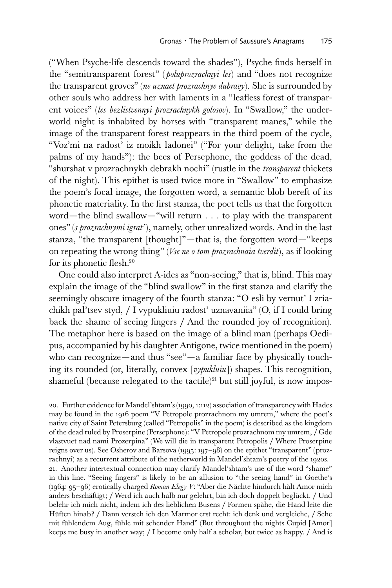("When Psyche-life descends toward the shades"), Psyche finds herself in the "semitransparent forest" (*poluprozrachnyi les*) and "does not recognize the transparent groves" (*ne uznaet prozrachnye dubravy*). She is surrounded by other souls who address her with laments in a "leafless forest of transparent voices" (*les bezlistvennyi prozrachnykh golosov*). In "Swallow," the underworld night is inhabited by horses with "transparent manes," while the image of the transparent forest reappears in the third poem of the cycle, "Voz'mi na radost' iz moikh ladonei" ("For your delight, take from the palms of my hands"): the bees of Persephone, the goddess of the dead, "shurshat v prozrachnykh debrakh nochi" (rustle in the *transparent* thickets of the night). This epithet is used twice more in "Swallow" to emphasize the poem's focal image, the forgotten word, a semantic blob bereft of its phonetic materiality. In the first stanza, the poet tells us that the forgotten word—the blind swallow—"will return . . . to play with the transparent ones" (*s prozrachnymi igrat'*), namely, other unrealized words. And in the last stanza, "the transparent [thought]"—that is, the forgotten word—"keeps on repeating the wrong thing" (*Vse ne o tom prozrachnaia tverdit*), as if looking for its phonetic flesh.20

One could also interpret A-ides as "non-seeing," that is, blind. This may explain the image of the "blind swallow" in the first stanza and clarify the seemingly obscure imagery of the fourth stanza: "O esli by vernut' I zriachikh pal'tsev styd, / I vypukliuiu radost' uznavaniia" (O, if I could bring back the shame of seeing fingers / And the rounded joy of recognition). The metaphor here is based on the image of a blind man (perhaps Oedipus, accompanied by his daughter Antigone, twice mentioned in the poem) who can recognize—and thus "see"—a familiar face by physically touching its rounded (or, literally, convex [*vypukluiu*]) shapes. This recognition, shameful (because relegated to the tactile)<sup>21</sup> but still joyful, is now impos-

20. Further evidence for Mandel'shtam's (1990, 1:112) association of transparency with Hades may be found in the 1916 poem "V Petropole prozrachnom my umrem," where the poet's native city of Saint Petersburg (called "Petropolis" in the poem) is described as the kingdom of the dead ruled by Proserpine (Persephone): "V Petropole prozrachnom my umrem, / Gde vlastvuet nad nami Prozerpina" (We will die in transparent Petropolis / Where Proserpine reigns over us). See Osherov and Barsova (1995: 197–98) on the epithet "transparent" (prozrachnyi) as a recurrent attribute of the netherworld in Mandel'shtam's poetry of the 1920s. 21. Another intertextual connection may clarify Mandel'shtam's use of the word "shame" in this line. "Seeing fingers" is likely to be an allusion to "the seeing hand" in Goethe's (1964: 95–96) erotically charged *Roman Elegy V*: "Aber die Nächte hindurch hält Amor mich anders beschäftigt; / Werd ich auch halb nur gelehrt, bin ich doch doppelt beglückt. / Und belehr ich mich nicht, indem ich des lieblichen Busens / Formen spähe, die Hand leite die Hüften hinab? / Dann versteh ich den Marmor erst recht: ich denk und vergleiche, / Sehe mit fühlendem Aug, fühle mit sehender Hand" (But throughout the nights Cupid [Amor] keeps me busy in another way; / I become only half a scholar, but twice as happy. / And is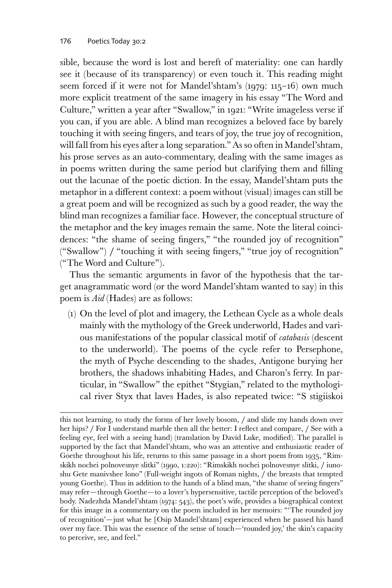sible, because the word is lost and bereft of materiality: one can hardly see it (because of its transparency) or even touch it. This reading might seem forced if it were not for Mandel'shtam's (1979: 115–16) own much more explicit treatment of the same imagery in his essay "The Word and Culture," written a year after "Swallow," in 1921: "Write imageless verse if you can, if you are able. A blind man recognizes a beloved face by barely touching it with seeing fingers, and tears of joy, the true joy of recognition, will fall from his eyes after a long separation." As so often in Mandel'shtam, his prose serves as an auto-commentary, dealing with the same images as in poems written during the same period but clarifying them and filling out the lacunae of the poetic diction. In the essay, Mandel'shtam puts the metaphor in a different context: a poem without (visual) images can still be a great poem and will be recognized as such by a good reader, the way the blind man recognizes a familiar face. However, the conceptual structure of the metaphor and the key images remain the same. Note the literal coincidences: "the shame of seeing fingers," "the rounded joy of recognition" ("Swallow") / "touching it with seeing fingers," "true joy of recognition" ("The Word and Culture").

Thus the semantic arguments in favor of the hypothesis that the target anagrammatic word (or the word Mandel'shtam wanted to say) in this poem is *Aid* (Hades) are as follows:

(1) On the level of plot and imagery, the Lethean Cycle as a whole deals mainly with the mythology of the Greek underworld, Hades and various manifestations of the popular classical motif of *catabasis* (descent to the underworld). The poems of the cycle refer to Persephone, the myth of Psyche descending to the shades, Antigone burying her brothers, the shadows inhabiting Hades, and Charon's ferry. In particular, in "Swallow" the epithet "Stygian," related to the mythological river Styx that laves Hades, is also repeated twice: "S stigiiskoi

this not learning, to study the forms of her lovely bosom, / and slide my hands down over her hips? / For I understand marble then all the better: I reflect and compare, / See with a feeling eye, feel with a seeing hand) (translation by David Luke, modified). The parallel is supported by the fact that Mandel'shtam, who was an attentive and enthusiastic reader of Goethe throughout his life, returns to this same passage in a short poem from 1935, "Rimskikh nochei polnovesnye slitki" (1990, 1:220): "Rimskikh nochei polnovesnye slitki, / iunoshu Gete manivshee lono" (Full-weight ingots of Roman nights, / the breasts that tempted young Goethe). Thus in addition to the hands of a blind man, "the shame of seeing fingers" may refer—through Goethe—to a lover's hypersensitive, tactile perception of the beloved's body. Nadezhda Mandel'shtam (1974: 543), the poet's wife, provides a biographical context for this image in a commentary on the poem included in her memoirs: "'The rounded joy of recognition'—just what he [Osip Mandel'shtam] experienced when he passed his hand over my face. This was the essence of the sense of touch—'rounded joy,' the skin's capacity to perceive, see, and feel."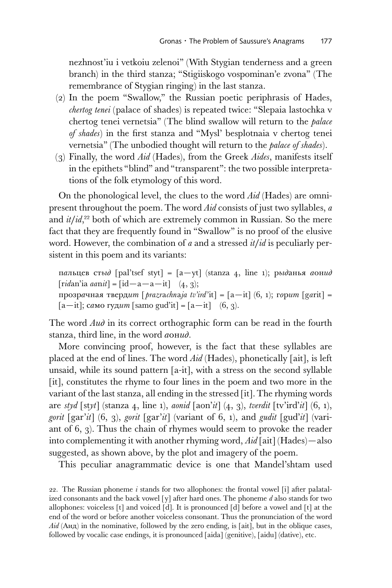nezhnost'iu i vetkoiu zelenoi" (With Stygian tenderness and a green branch) in the third stanza; "Stigiiskogo vospominan'e zvona" (The remembrance of Stygian ringing) in the last stanza.

- (2) In the poem "Swallow," the Russian poetic periphrasis of Hades, *chertog tenei* (palace of shades) is repeated twice: "Slepaia lastochka v chertog tenei vernetsia" (The blind swallow will return to the *palace of shades*) in the first stanza and "Mysl' besplotnaia v chertog tenei vernetsia" (The unbodied thought will return to the *palace of shades*).
- (3) Finally, the word *Aid* (Hades), from the Greek *Aides*, manifests itself in the epithets "blind" and "transparent": the two possible interpretations of the folk etymology of this word.

On the phonological level, the clues to the word *Aid* (Hades) are omnipresent throughout the poem. The word *Aid* consists of just two syllables, *a* and *it*/*id*,<sup>22</sup> both of which are extremely common in Russian. So the mere fact that they are frequently found in "Swallow" is no proof of the elusive word. However, the combination of *a* and a stressed *it*/*id* is peculiarly persistent in this poem and its variants:

п*а*льцев ст*ыд* [pal'tsef styt] = [а—yt] (stanza 4, line 1); р*ыд*анья *а*он*ид* [r*id*an'ia *aa*n*it*] = [id—a—a—it] (4, 3); прозр*а*чная тверд*ит* [*prazr*a*chn*a*ja tv'ird'*it] = [a—it] (6, 1); г*о*р*ит* [g*a*rit] =  $[a-{\rm i}t]$ ; с*а*мо гуд*ит* [samo gud'it] =  $[a-{\rm i}t]$  (6, 3).

The word  $Au\partial$  in its correct orthographic form can be read in the fourth stanza, third line, in the word *а*он*ид.*

More convincing proof, however, is the fact that these syllables are placed at the end of lines. The word *Aid* (Hades), phonetically [ait], is left unsaid, while its sound pattern [a-it], with a stress on the second syllable [it], constitutes the rhyme to four lines in the poem and two more in the variant of the last stanza, all ending in the stressed [it]. The rhyming words are *styd* [st*yt*] (stanza 4, line 1), *aonid* [aon'*it*] (4, 3), *tverdit* [tv'ird'*it*] (6, 1), *gorit* [gar'*it*] (6, 3), *gorit* [gar'*it*] (variant of 6, 1), and *gudit* [gud'*it*] (variant of 6, 3). Thus the chain of rhymes would seem to provoke the reader into complementing it with another rhyming word, *Aid* [ait] (Hades)—also suggested, as shown above, by the plot and imagery of the poem.

This peculiar anagrammatic device is one that Mandel'shtam used

<sup>22.</sup> The Russian phoneme *i* stands for two allophones: the frontal vowel [i] after palatalized consonants and the back vowel [y] after hard ones. The phoneme *d* also stands for two allophones: voiceless [t] and voiced [d]. It is pronounced [d] before a vowel and [t] at the end of the word or before another voiceless consonant. Thus the pronunciation of the word *Aid* (Аид) in the nominative, followed by the zero ending, is [ait], but in the oblique cases, followed by vocalic case endings, it is pronounced [aida] (genitive), [aidu] (dative), etc.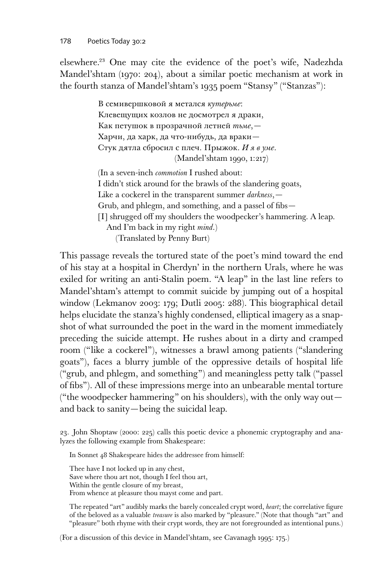elsewhere.23 One may cite the evidence of the poet's wife, Nadezhda Mandel'shtam (1970: 204), about a similar poetic mechanism at work in the fourth stanza of Mandel'shtam's 1935 poem "Stansy" ("Stanzas"):

> В семивершковой я метался *кутерьме*: Клевещущих козлов не досмотрел я драки, Как петушок в прозрачной летней *тьме*,— Харчи, да харк, да что-нибудь, да враки— Стук дятла сбросил с плеч. Прыжок. *И я в уме*. (Mandel'shtam 1990, 1:217) (In a seven-inch *commotion* I rushed about:

I didn't stick around for the brawls of the slandering goats, Like a cockerel in the transparent summer *darkness*,— Grub, and phlegm, and something, and a passel of fibs— [I] shrugged off my shoulders the woodpecker's hammering. A leap.

And I'm back in my right *mind*.)

(Translated by Penny Burt)

This passage reveals the tortured state of the poet's mind toward the end of his stay at a hospital in Cherdyn' in the northern Urals, where he was exiled for writing an anti-Stalin poem. "A leap" in the last line refers to Mandel'shtam's attempt to commit suicide by jumping out of a hospital window (Lekmanov 2003: 179; Dutli 2005: 288). This biographical detail helps elucidate the stanza's highly condensed, elliptical imagery as a snapshot of what surrounded the poet in the ward in the moment immediately preceding the suicide attempt. He rushes about in a dirty and cramped room ("like a cockerel"), witnesses a brawl among patients ("slandering goats"), faces a blurry jumble of the oppressive details of hospital life ("grub, and phlegm, and something") and meaningless petty talk ("passel of fibs"). All of these impressions merge into an unbearable mental torture ("the woodpecker hammering" on his shoulders), with the only way out and back to sanity—being the suicidal leap.

In Sonnet 48 Shakespeare hides the addressee from himself:

Thee have I not locked up in any chest, Save where thou art not, though I feel thou art, Within the gentle closure of my breast, From whence at pleasure thou mayst come and part.

The repeated "art" audibly marks the barely concealed crypt word, *heart*; the correlative figure of the beloved as a valuable *treasure* is also marked by "pleasure." (Note that though ''art" and "pleasure" both rhyme with their crypt words, they are not foregrounded as intentional puns.)

(For a discussion of this device in Mandel'shtam, see Cavanagh 1995: 175.)

<sup>23.</sup> John Shoptaw (2000: 225) calls this poetic device a phonemic cryptography and analyzes the following example from Shakespeare: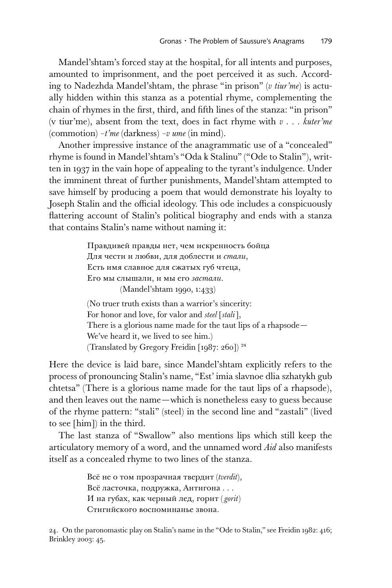Mandel'shtam's forced stay at the hospital, for all intents and purposes, amounted to imprisonment, and the poet perceived it as such. According to Nadezhda Mandel'shtam, the phrase "in prison" (*v tiur'me*) is actually hidden within this stanza as a potential rhyme, complementing the chain of rhymes in the first, third, and fifth lines of the stanza: "in prison" (v tiur'me), absent from the text, does in fact rhyme with *v . . . kuter'me* (commotion) *–t'me* (darkness) *–v ume* (in mind).

Another impressive instance of the anagrammatic use of a "concealed" rhyme is found in Mandel'shtam's "Oda k Stalinu" ("Ode to Stalin"), written in 1937 in the vain hope of appealing to the tyrant's indulgence. Under the imminent threat of further punishments, Mandel'shtam attempted to save himself by producing a poem that would demonstrate his loyalty to Joseph Stalin and the official ideology. This ode includes a conspicuously flattering account of Stalin's political biography and ends with a stanza that contains Stalin's name without naming it:

> Правдивей правды нет, чем искренность бойца Для чести и любви, для доблести и *стали*, Есть имя славное для сжатых губ чтеца, Его мы слышали, и мы его *застали*. (Mandel'shtam 1990, 1:433) (No truer truth exists than a warrior's sincerity: For honor and love, for valor and *steel* [*stali*], There is a glorious name made for the taut lips of a rhapsode— We've heard it, we lived to see him.) (Translated by Gregory Freidin [1987: 260]) 24

Here the device is laid bare, since Mandel'shtam explicitly refers to the process of pronouncing Stalin's name, "Est' imia slavnoe dlia szhatykh gub chtetsa" (There is a glorious name made for the taut lips of a rhapsode), and then leaves out the name—which is nonetheless easy to guess because of the rhyme pattern: "stali" (steel) in the second line and "zastali" (lived to see [him]) in the third.

The last stanza of "Swallow" also mentions lips which still keep the articulatory memory of a word, and the unnamed word *Aid* also manifests itself as a concealed rhyme to two lines of the stanza.

> Bсё не о том прозрачная твердит (*tverdit*), Всё ласточка, подружка, Антигона . . . И на губах, как черный лед, горит (*gorit*) Стигийского воспоминанье звона.

24. On the paronomastic play on Stalin's name in the "Ode to Stalin," see Freidin 1982: 416; Brinkley 2003: 45.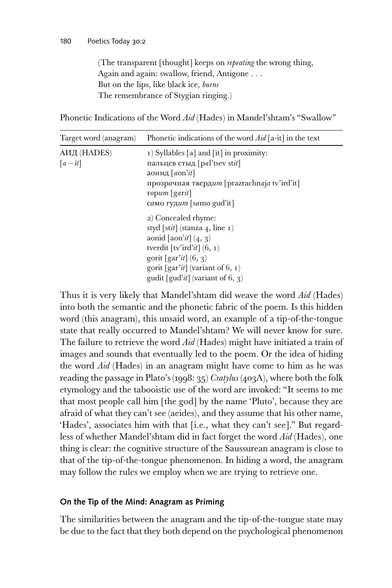(The transparent [thought] keeps on *repeating* the wrong thing, Again and again: swallow, friend, Antigone . . . But on the lips, like black ice, *burns* The remembrance of Stygian ringing.)

Phonetic Indications of the Word *Aid* (Hades) in Mandel'shtam's "Swallow"

| Target word (anagram)   | Phonetic indications of the word $\text{A}id$ [a-it] in the text                                                                                                                                                                   |
|-------------------------|------------------------------------------------------------------------------------------------------------------------------------------------------------------------------------------------------------------------------------|
| АИД (HADES)<br>$[a-it]$ | 1) Syllables [a] and $\lceil \text{it} \rceil$ in proximity:<br>пальцев стыд [pal'tsev stit]<br>аонид $[a$ on'it]<br>прозрачная твердит [prazrachnaja tv'ird'it]<br>ropum $\lceil \text{garit} \rceil$<br>само гудит [samo gud'it] |
|                         | 2) Concealed rhyme:<br>styd [stit] (stanza 4, line 1)<br>aonid [aon'ii] $(4, 3)$<br>tverdit $[tv'ird'it]$ $(6, 1)$<br>gorit [gar'it] $(6, 3)$<br>gorit [gar' <i>it</i> ] (variant of 6, 1)<br>gudit [gud'it] (variant of 6, 3)     |

Thus it is very likely that Mandel'shtam did weave the word *Aid* (Hades) into both the semantic and the phonetic fabric of the poem. Is this hidden word (this anagram), this unsaid word, an example of a tip-of-the-tongue state that really occurred to Mandel'shtam? We will never know for sure. The failure to retrieve the word *Aid* (Hades) might have initiated a train of images and sounds that eventually led to the poem. Or the idea of hiding the word *Aid* (Hades) in an anagram might have come to him as he was reading the passage in Plato's (1998: 35) *Cratylus* (403A), where both the folk etymology and the tabooistic use of the word are invoked: "It seems to me that most people call him [the god] by the name 'Pluto', because they are afraid of what they can't see (aeides), and they assume that his other name, 'Hades', associates him with that [i.e., what they can't see]." But regardless of whether Mandel'shtam did in fact forget the word *Aid* (Hades), one thing is clear: the cognitive structure of the Saussurean anagram is close to that of the tip-of-the-tongue phenomenon. In hiding a word, the anagram may follow the rules we employ when we are trying to retrieve one.

## **On the Tip of the Mind: Anagram as Priming**

The similarities between the anagram and the tip-of-the-tongue state may be due to the fact that they both depend on the psychological phenomenon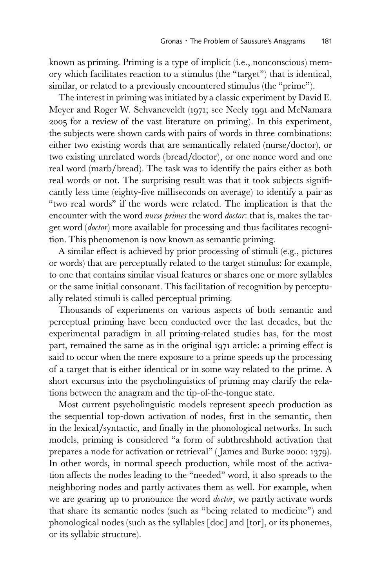known as priming. Priming is a type of implicit (i.e., nonconscious) memory which facilitates reaction to a stimulus (the "target") that is identical, similar, or related to a previously encountered stimulus (the "prime").

The interest in priming was initiated by a classic experiment by David E. Meyer and Roger W. Schvaneveldt (1971; see Neely 1991 and McNamara 2005 for a review of the vast literature on priming). In this experiment, the subjects were shown cards with pairs of words in three combinations: either two existing words that are semantically related (nurse/doctor), or two existing unrelated words (bread/doctor), or one nonce word and one real word (marb/bread). The task was to identify the pairs either as both real words or not. The surprising result was that it took subjects significantly less time (eighty-five milliseconds on average) to identify a pair as "two real words" if the words were related. The implication is that the encounter with the word *nurse primes* the word *doctor*: that is, makes the target word (*doctor*) more available for processing and thus facilitates recognition. This phenomenon is now known as semantic priming.

A similar effect is achieved by prior processing of stimuli (e.g., pictures or words) that are perceptually related to the target stimulus: for example, to one that contains similar visual features or shares one or more syllables or the same initial consonant. This facilitation of recognition by perceptually related stimuli is called perceptual priming.

Thousands of experiments on various aspects of both semantic and perceptual priming have been conducted over the last decades, but the experimental paradigm in all priming-related studies has, for the most part, remained the same as in the original 1971 article: a priming effect is said to occur when the mere exposure to a prime speeds up the processing of a target that is either identical or in some way related to the prime. A short excursus into the psycholinguistics of priming may clarify the relations between the anagram and the tip-of-the-tongue state.

Most current psycholinguistic models represent speech production as the sequential top-down activation of nodes, first in the semantic, then in the lexical/syntactic, and finally in the phonological networks. In such models, priming is considered "a form of subthreshhold activation that prepares a node for activation or retrieval" ( James and Burke 2000: 1379). In other words, in normal speech production, while most of the activation affects the nodes leading to the "needed" word, it also spreads to the neighboring nodes and partly activates them as well. For example, when we are gearing up to pronounce the word *doctor*, we partly activate words that share its semantic nodes (such as "being related to medicine") and phonological nodes (such as the syllables [doc] and [tor], or its phonemes, or its syllabic structure).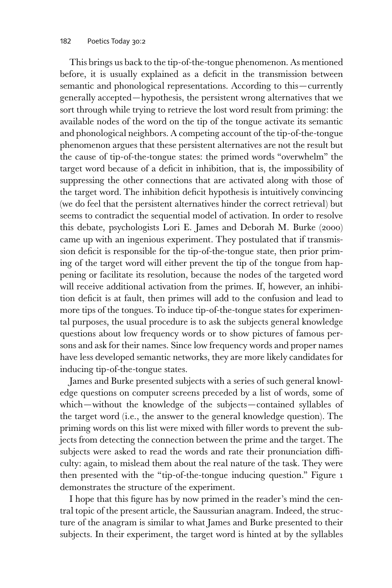This brings us back to the tip-of-the-tongue phenomenon. As mentioned before, it is usually explained as a deficit in the transmission between semantic and phonological representations. According to this—currently generally accepted—hypothesis, the persistent wrong alternatives that we sort through while trying to retrieve the lost word result from priming: the available nodes of the word on the tip of the tongue activate its semantic and phonological neighbors. A competing account of the tip-of-the-tongue phenomenon argues that these persistent alternatives are not the result but the cause of tip-of-the-tongue states: the primed words "overwhelm" the target word because of a deficit in inhibition, that is, the impossibility of suppressing the other connections that are activated along with those of the target word. The inhibition deficit hypothesis is intuitively convincing (we do feel that the persistent alternatives hinder the correct retrieval) but seems to contradict the sequential model of activation. In order to resolve this debate, psychologists Lori E. James and Deborah M. Burke (2000) came up with an ingenious experiment. They postulated that if transmission deficit is responsible for the tip-of-the-tongue state, then prior priming of the target word will either prevent the tip of the tongue from happening or facilitate its resolution, because the nodes of the targeted word will receive additional activation from the primes. If, however, an inhibition deficit is at fault, then primes will add to the confusion and lead to more tips of the tongues. To induce tip-of-the-tongue states for experimental purposes, the usual procedure is to ask the subjects general knowledge questions about low frequency words or to show pictures of famous persons and ask for their names. Since low frequency words and proper names have less developed semantic networks, they are more likely candidates for inducing tip-of-the-tongue states.

James and Burke presented subjects with a series of such general knowledge questions on computer screens preceded by a list of words, some of which—without the knowledge of the subjects—contained syllables of the target word (i.e., the answer to the general knowledge question). The priming words on this list were mixed with filler words to prevent the subjects from detecting the connection between the prime and the target. The subjects were asked to read the words and rate their pronunciation difficulty: again, to mislead them about the real nature of the task. They were then presented with the "tip-of-the-tongue inducing question." Figure 1 demonstrates the structure of the experiment.

I hope that this figure has by now primed in the reader's mind the central topic of the present article, the Saussurian anagram. Indeed, the structure of the anagram is similar to what James and Burke presented to their subjects. In their experiment, the target word is hinted at by the syllables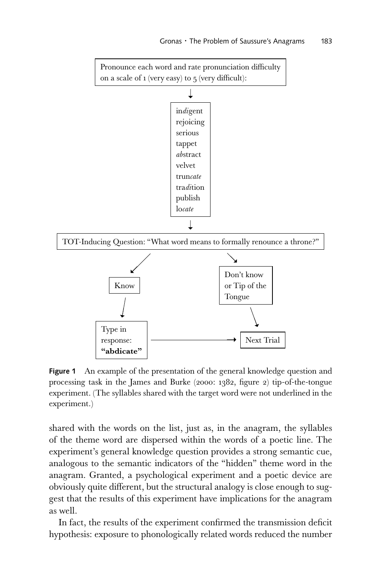

**Figure 1** An example of the presentation of the general knowledge question and processing task in the James and Burke (2000: 1382, figure 2) tip-of-the-tongue experiment. (The syllables shared with the target word were not underlined in the experiment.)

shared with the words on the list, just as, in the anagram, the syllables of the theme word are dispersed within the words of a poetic line. The experiment's general knowledge question provides a strong semantic cue, analogous to the semantic indicators of the "hidden" theme word in the anagram. Granted, a psychological experiment and a poetic device are obviously quite different, but the structural analogy is close enough to suggest that the results of this experiment have implications for the anagram as well.

In fact, the results of the experiment confirmed the transmission deficit hypothesis: exposure to phonologically related words reduced the number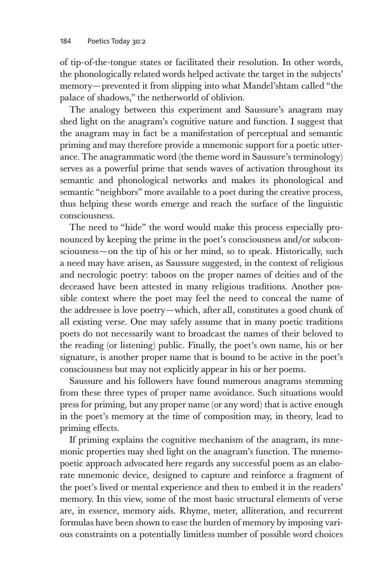of tip-of-the-tongue states or facilitated their resolution. In other words, the phonologically related words helped activate the target in the subjects' memory—prevented it from slipping into what Mandel'shtam called "the palace of shadows," the netherworld of oblivion.

The analogy between this experiment and Saussure's anagram may shed light on the anagram's cognitive nature and function. I suggest that the anagram may in fact be a manifestation of perceptual and semantic priming and may therefore provide a mnemonic support for a poetic utterance. The anagrammatic word (the theme word in Saussure's terminology) serves as a powerful prime that sends waves of activation throughout its semantic and phonological networks and makes its phonological and semantic "neighbors" more available to a poet during the creative process, thus helping these words emerge and reach the surface of the linguistic consciousness.

The need to "hide" the word would make this process especially pronounced by keeping the prime in the poet's consciousness and/or subconsciousness—on the tip of his or her mind, so to speak. Historically, such a need may have arisen, as Saussure suggested, in the context of religious and necrologic poetry: taboos on the proper names of deities and of the deceased have been attested in many religious traditions. Another possible context where the poet may feel the need to conceal the name of the addressee is love poetry—which, after all, constitutes a good chunk of all existing verse. One may safely assume that in many poetic traditions poets do not necessarily want to broadcast the names of their beloved to the reading (or listening) public. Finally, the poet's own name, his or her signature, is another proper name that is bound to be active in the poet's consciousness but may not explicitly appear in his or her poems.

Saussure and his followers have found numerous anagrams stemming from these three types of proper name avoidance. Such situations would press for priming, but any proper name (or any word) that is active enough in the poet's memory at the time of composition may, in theory, lead to priming effects.

If priming explains the cognitive mechanism of the anagram, its mnemonic properties may shed light on the anagram's function. The mnemopoetic approach advocated here regards any successful poem as an elaborate mnemonic device, designed to capture and reinforce a fragment of the poet's lived or mental experience and then to embed it in the readers' memory. In this view, some of the most basic structural elements of verse are, in essence, memory aids. Rhyme, meter, alliteration, and recurrent formulas have been shown to ease the burden of memory by imposing various constraints on a potentially limitless number of possible word choices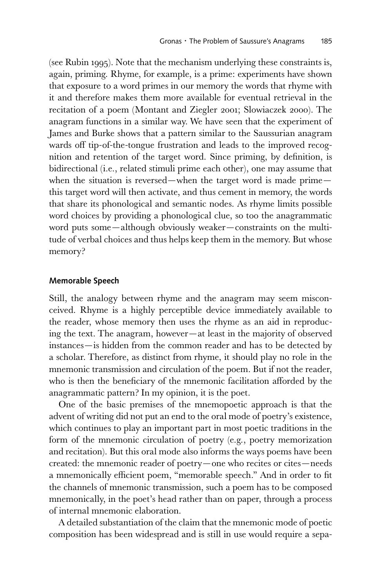(see Rubin 1995). Note that the mechanism underlying these constraints is, again, priming. Rhyme, for example, is a prime: experiments have shown that exposure to a word primes in our memory the words that rhyme with it and therefore makes them more available for eventual retrieval in the recitation of a poem (Montant and Ziegler 2001; Slowiaczek 2000). The anagram functions in a similar way. We have seen that the experiment of James and Burke shows that a pattern similar to the Saussurian anagram wards off tip-of-the-tongue frustration and leads to the improved recognition and retention of the target word. Since priming, by definition, is bidirectional (i.e., related stimuli prime each other), one may assume that when the situation is reversed—when the target word is made prime this target word will then activate, and thus cement in memory, the words that share its phonological and semantic nodes. As rhyme limits possible word choices by providing a phonological clue, so too the anagrammatic word puts some—although obviously weaker—constraints on the multitude of verbal choices and thus helps keep them in the memory. But whose memory?

#### **Memorable Speech**

Still, the analogy between rhyme and the anagram may seem misconceived. Rhyme is a highly perceptible device immediately available to the reader, whose memory then uses the rhyme as an aid in reproducing the text. The anagram, however—at least in the majority of observed instances—is hidden from the common reader and has to be detected by a scholar. Therefore, as distinct from rhyme, it should play no role in the mnemonic transmission and circulation of the poem. But if not the reader, who is then the beneficiary of the mnemonic facilitation afforded by the anagrammatic pattern? In my opinion, it is the poet.

One of the basic premises of the mnemopoetic approach is that the advent of writing did not put an end to the oral mode of poetry's existence, which continues to play an important part in most poetic traditions in the form of the mnemonic circulation of poetry (e.g., poetry memorization and recitation). But this oral mode also informs the ways poems have been created: the mnemonic reader of poetry—one who recites or cites—needs a mnemonically efficient poem, "memorable speech." And in order to fit the channels of mnemonic transmission, such a poem has to be composed mnemonically, in the poet's head rather than on paper, through a process of internal mnemonic elaboration.

A detailed substantiation of the claim that the mnemonic mode of poetic composition has been widespread and is still in use would require a sepa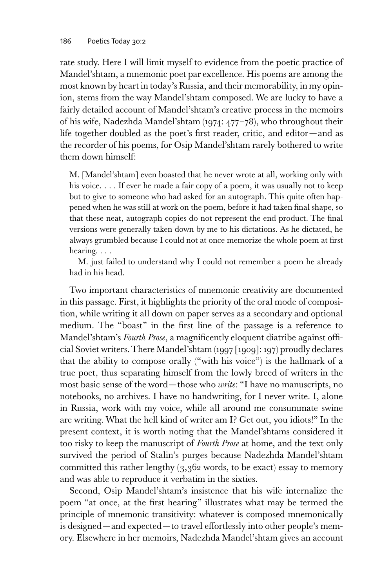rate study. Here I will limit myself to evidence from the poetic practice of Mandel'shtam, a mnemonic poet par excellence. His poems are among the most known by heart in today's Russia, and their memorability, in my opinion, stems from the way Mandel'shtam composed. We are lucky to have a fairly detailed account of Mandel'shtam's creative process in the memoirs of his wife, Nadezhda Mandel'shtam (1974: 477–78), who throughout their life together doubled as the poet's first reader, critic, and editor—and as the recorder of his poems, for Osip Mandel'shtam rarely bothered to write them down himself:

M. [Mandel'shtam] even boasted that he never wrote at all, working only with his voice. . . . If ever he made a fair copy of a poem, it was usually not to keep but to give to someone who had asked for an autograph. This quite often happened when he was still at work on the poem, before it had taken final shape, so that these neat, autograph copies do not represent the end product. The final versions were generally taken down by me to his dictations. As he dictated, he always grumbled because I could not at once memorize the whole poem at first hearing. . . .

M. just failed to understand why I could not remember a poem he already had in his head.

Two important characteristics of mnemonic creativity are documented in this passage. First, it highlights the priority of the oral mode of composition, while writing it all down on paper serves as a secondary and optional medium. The "boast" in the first line of the passage is a reference to Mandel'shtam's *Fourth Prose*, a magnificently eloquent diatribe against official Soviet writers. There Mandel'shtam (1997 [1909]: 197) proudly declares that the ability to compose orally ("with his voice") is the hallmark of a true poet, thus separating himself from the lowly breed of writers in the most basic sense of the word—those who *write*: "I have no manuscripts, no notebooks, no archives. I have no handwriting, for I never write. I, alone in Russia, work with my voice, while all around me consummate swine are writing. What the hell kind of writer am I? Get out, you idiots!" In the present context, it is worth noting that the Mandel'shtams considered it too risky to keep the manuscript of *Fourth Prose* at home, and the text only survived the period of Stalin's purges because Nadezhda Mandel'shtam committed this rather lengthy  $(3,362 \text{ words}, \text{to be exact})$  essay to memory and was able to reproduce it verbatim in the sixties.

Second, Osip Mandel'shtam's insistence that his wife internalize the poem "at once, at the first hearing" illustrates what may be termed the principle of mnemonic transitivity: whatever is composed mnemonically is designed—and expected—to travel effortlessly into other people's memory. Elsewhere in her memoirs, Nadezhda Mandel'shtam gives an account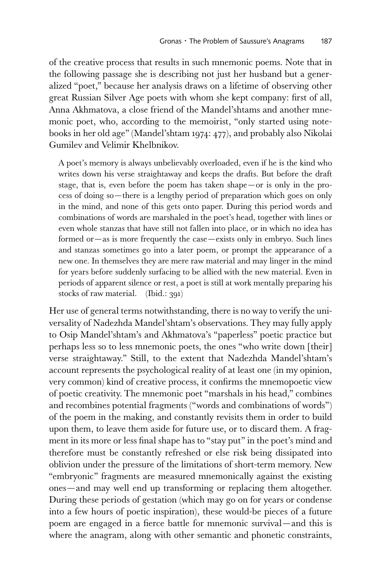of the creative process that results in such mnemonic poems. Note that in the following passage she is describing not just her husband but a generalized "poet," because her analysis draws on a lifetime of observing other great Russian Silver Age poets with whom she kept company: first of all, Anna Akhmatova, a close friend of the Mandel'shtams and another mnemonic poet, who, according to the memoirist, "only started using notebooks in her old age" (Mandel'shtam 1974: 477), and probably also Nikolai Gumilev and Velimir Khelbnikov.

A poet's memory is always unbelievably overloaded, even if he is the kind who writes down his verse straightaway and keeps the drafts. But before the draft stage, that is, even before the poem has taken shape—or is only in the process of doing so—there is a lengthy period of preparation which goes on only in the mind, and none of this gets onto paper. During this period words and combinations of words are marshaled in the poet's head, together with lines or even whole stanzas that have still not fallen into place, or in which no idea has formed or—as is more frequently the case—exists only in embryo. Such lines and stanzas sometimes go into a later poem, or prompt the appearance of a new one. In themselves they are mere raw material and may linger in the mind for years before suddenly surfacing to be allied with the new material. Even in periods of apparent silence or rest, a poet is still at work mentally preparing his stocks of raw material. (Ibid.: 391)

Her use of general terms notwithstanding, there is no way to verify the universality of Nadezhda Mandel'shtam's observations. They may fully apply to Osip Mandel'shtam's and Akhmatova's "paperless" poetic practice but perhaps less so to less mnemonic poets, the ones "who write down [their] verse straightaway." Still, to the extent that Nadezhda Mandel'shtam's account represents the psychological reality of at least one (in my opinion, very common) kind of creative process, it confirms the mnemopoetic view of poetic creativity. The mnemonic poet "marshals in his head," combines and recombines potential fragments ("words and combinations of words") of the poem in the making, and constantly revisits them in order to build upon them, to leave them aside for future use, or to discard them. A fragment in its more or less final shape has to "stay put" in the poet's mind and therefore must be constantly refreshed or else risk being dissipated into oblivion under the pressure of the limitations of short-term memory. New "embryonic" fragments are measured mnemonically against the existing ones—and may well end up transforming or replacing them altogether. During these periods of gestation (which may go on for years or condense into a few hours of poetic inspiration), these would-be pieces of a future poem are engaged in a fierce battle for mnemonic survival—and this is where the anagram, along with other semantic and phonetic constraints,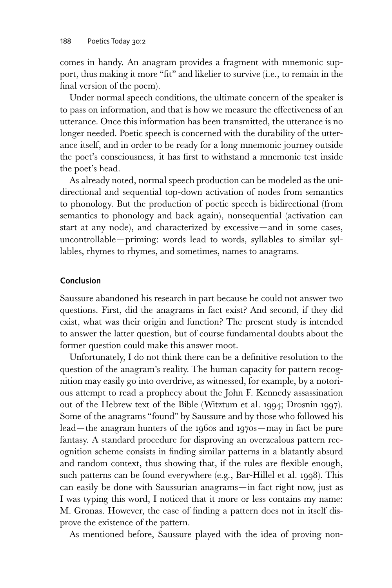comes in handy. An anagram provides a fragment with mnemonic support, thus making it more "fit" and likelier to survive (i.e., to remain in the final version of the poem).

Under normal speech conditions, the ultimate concern of the speaker is to pass on information, and that is how we measure the effectiveness of an utterance. Once this information has been transmitted, the utterance is no longer needed. Poetic speech is concerned with the durability of the utterance itself, and in order to be ready for a long mnemonic journey outside the poet's consciousness, it has first to withstand a mnemonic test inside the poet's head.

As already noted, normal speech production can be modeled as the unidirectional and sequential top-down activation of nodes from semantics to phonology. But the production of poetic speech is bidirectional (from semantics to phonology and back again), nonsequential (activation can start at any node), and characterized by excessive—and in some cases, uncontrollable—priming: words lead to words, syllables to similar syllables, rhymes to rhymes, and sometimes, names to anagrams.

## **Conclusion**

Saussure abandoned his research in part because he could not answer two questions. First, did the anagrams in fact exist? And second, if they did exist, what was their origin and function? The present study is intended to answer the latter question, but of course fundamental doubts about the former question could make this answer moot.

Unfortunately, I do not think there can be a definitive resolution to the question of the anagram's reality. The human capacity for pattern recognition may easily go into overdrive, as witnessed, for example, by a notorious attempt to read a prophecy about the John F. Kennedy assassination out of the Hebrew text of the Bible (Witztum et al. 1994; Drosnin 1997). Some of the anagrams "found" by Saussure and by those who followed his lead—the anagram hunters of the 1960s and 1970s—may in fact be pure fantasy. A standard procedure for disproving an overzealous pattern recognition scheme consists in finding similar patterns in a blatantly absurd and random context, thus showing that, if the rules are flexible enough, such patterns can be found everywhere (e.g., Bar-Hillel et al. 1998). This can easily be done with Saussurian anagrams—in fact right now, just as I was typing this word, I noticed that it more or less contains my name: M. Gronas. However, the ease of finding a pattern does not in itself disprove the existence of the pattern.

As mentioned before, Saussure played with the idea of proving non-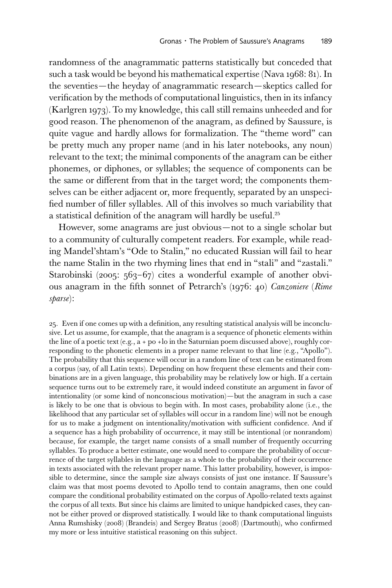randomness of the anagrammatic patterns statistically but conceded that such a task would be beyond his mathematical expertise (Nava 1968: 81). In the seventies—the heyday of anagrammatic research—skeptics called for verification by the methods of computational linguistics, then in its infancy (Karlgren 1973). To my knowledge, this call still remains unheeded and for good reason. The phenomenon of the anagram, as defined by Saussure, is quite vague and hardly allows for formalization. The "theme word" can be pretty much any proper name (and in his later notebooks, any noun) relevant to the text; the minimal components of the anagram can be either phonemes, or diphones, or syllables; the sequence of components can be the same or different from that in the target word; the components themselves can be either adjacent or, more frequently, separated by an unspecified number of filler syllables. All of this involves so much variability that a statistical definition of the anagram will hardly be useful.25

However, some anagrams are just obvious—not to a single scholar but to a community of culturally competent readers. For example, while reading Mandel'shtam's "Ode to Stalin," no educated Russian will fail to hear the name Stalin in the two rhyming lines that end in "stali" and "zastali." Starobinski (2005: 563-67) cites a wonderful example of another obvious anagram in the fifth sonnet of Petrarch's (1976: 40) *Canzoniere* (*Rime sparse*):

25. Even if one comes up with a definition, any resulting statistical analysis will be inconclusive. Let us assume, for example, that the anagram is a sequence of phonetic elements within the line of a poetic text (e.g., a + po +lo in the Saturnian poem discussed above), roughly corresponding to the phonetic elements in a proper name relevant to that line (e.g., "Apollo"). The probability that this sequence will occur in a random line of text can be estimated from a corpus (say, of all Latin texts). Depending on how frequent these elements and their combinations are in a given language, this probability may be relatively low or high. If a certain sequence turns out to be extremely rare, it would indeed constitute an argument in favor of intentionality (or some kind of nonconscious motivation)—but the anagram in such a case is likely to be one that is obvious to begin with. In most cases, probability alone (i.e., the likelihood that any particular set of syllables will occur in a random line) will not be enough for us to make a judgment on intentionality/motivation with sufficient confidence. And if a sequence has a high probability of occurrence, it may still be intentional (or nonrandom) because, for example, the target name consists of a small number of frequently occurring syllables. To produce a better estimate, one would need to compare the probability of occurrence of the target syllables in the language as a whole to the probability of their occurrence in texts associated with the relevant proper name. This latter probability, however, is impossible to determine, since the sample size always consists of just one instance. If Saussure's claim was that most poems devoted to Apollo tend to contain anagrams, then one could compare the conditional probability estimated on the corpus of Apollo-related texts against the corpus of all texts. But since his claims are limited to unique handpicked cases, they cannot be either proved or disproved statistically. I would like to thank computational linguists Anna Rumshisky (2008) (Brandeis) and Sergey Bratus (2008) (Dartmouth), who confirmed my more or less intuitive statistical reasoning on this subject.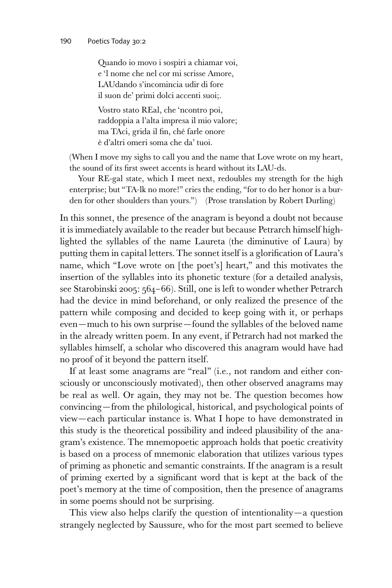Quando io movo i sospiri a chiamar voi, e 'l nome che nel cor mi scrisse Amore, LAUdando s'incomincia udir di fore il suon de' primi dolci accenti suoi;.

Vostro stato REal, che 'ncontro poi, raddoppia a l'alta impresa il mio valore; ma TAci, grida il fin, ché farle onore è d'altri omeri soma che da' tuoi.

(When I move my sighs to call you and the name that Love wrote on my heart, the sound of its first sweet accents is heard without its LAU-ds.

Your RE-gal state, which I meet next, redoubles my strength for the high enterprise; but "TA-lk no more!" cries the ending, "for to do her honor is a burden for other shoulders than yours.") (Prose translation by Robert Durling)

In this sonnet, the presence of the anagram is beyond a doubt not because it is immediately available to the reader but because Petrarch himself highlighted the syllables of the name Laureta (the diminutive of Laura) by putting them in capital letters. The sonnet itself is a glorification of Laura's name, which "Love wrote on [the poet's] heart," and this motivates the insertion of the syllables into its phonetic texture (for a detailed analysis, see Starobinski 2005: 564–66). Still, one is left to wonder whether Petrarch had the device in mind beforehand, or only realized the presence of the pattern while composing and decided to keep going with it, or perhaps even—much to his own surprise—found the syllables of the beloved name in the already written poem. In any event, if Petrarch had not marked the syllables himself, a scholar who discovered this anagram would have had no proof of it beyond the pattern itself.

If at least some anagrams are "real" (i.e., not random and either consciously or unconsciously motivated), then other observed anagrams may be real as well. Or again, they may not be. The question becomes how convincing—from the philological, historical, and psychological points of view—each particular instance is. What I hope to have demonstrated in this study is the theoretical possibility and indeed plausibility of the anagram's existence. The mnemopoetic approach holds that poetic creativity is based on a process of mnemonic elaboration that utilizes various types of priming as phonetic and semantic constraints. If the anagram is a result of priming exerted by a significant word that is kept at the back of the poet's memory at the time of composition, then the presence of anagrams in some poems should not be surprising.

This view also helps clarify the question of intentionality—a question strangely neglected by Saussure, who for the most part seemed to believe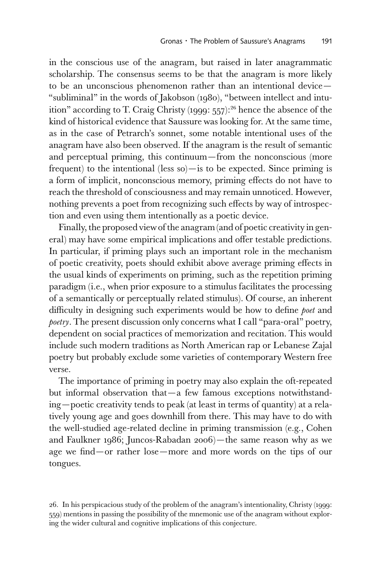in the conscious use of the anagram, but raised in later anagrammatic scholarship. The consensus seems to be that the anagram is more likely to be an unconscious phenomenon rather than an intentional device— "subliminal" in the words of Jakobson (1980), "between intellect and intuition" according to T. Craig Christy (1999: 557):26 hence the absence of the kind of historical evidence that Saussure was looking for. At the same time, as in the case of Petrarch's sonnet, some notable intentional uses of the anagram have also been observed. If the anagram is the result of semantic and perceptual priming, this continuum—from the nonconscious (more frequent) to the intentional (less so)—is to be expected. Since priming is a form of implicit, nonconscious memory, priming effects do not have to reach the threshold of consciousness and may remain unnoticed. However, nothing prevents a poet from recognizing such effects by way of introspection and even using them intentionally as a poetic device.

Finally, the proposed view of the anagram (and of poetic creativity in general) may have some empirical implications and offer testable predictions. In particular, if priming plays such an important role in the mechanism of poetic creativity, poets should exhibit above average priming effects in the usual kinds of experiments on priming, such as the repetition priming paradigm (i.e., when prior exposure to a stimulus facilitates the processing of a semantically or perceptually related stimulus). Of course, an inherent difficulty in designing such experiments would be how to define *poet* and *poetry*. The present discussion only concerns what I call "para-oral" poetry, dependent on social practices of memorization and recitation. This would include such modern traditions as North American rap or Lebanese Zajal poetry but probably exclude some varieties of contemporary Western free verse.

The importance of priming in poetry may also explain the oft-repeated but informal observation that—a few famous exceptions notwithstanding—poetic creativity tends to peak (at least in terms of quantity) at a relatively young age and goes downhill from there. This may have to do with the well-studied age-related decline in priming transmission (e.g., Cohen and Faulkner 1986; Juncos-Rabadan 2006)—the same reason why as we age we find—or rather lose—more and more words on the tips of our tongues.

<sup>26.</sup> In his perspicacious study of the problem of the anagram's intentionality, Christy (1999: 559) mentions in passing the possibility of the mnemonic use of the anagram without exploring the wider cultural and cognitive implications of this conjecture.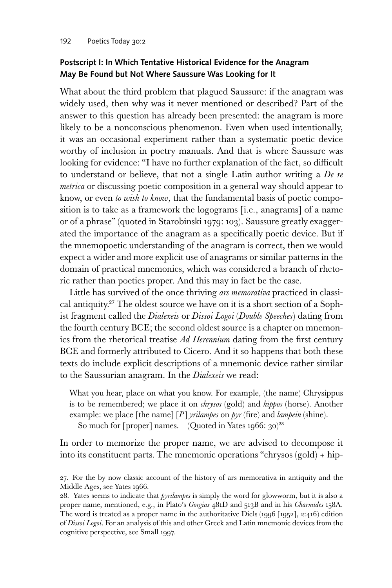# **Postscript I: In Which Tentative Historical Evidence for the Anagram May Be Found but Not Where Saussure Was Looking for It**

What about the third problem that plagued Saussure: if the anagram was widely used, then why was it never mentioned or described? Part of the answer to this question has already been presented: the anagram is more likely to be a nonconscious phenomenon. Even when used intentionally, it was an occasional experiment rather than a systematic poetic device worthy of inclusion in poetry manuals. And that is where Saussure was looking for evidence: "I have no further explanation of the fact, so difficult to understand or believe, that not a single Latin author writing a *De re metrica* or discussing poetic composition in a general way should appear to know, or even *to wish to know*, that the fundamental basis of poetic composition is to take as a framework the logograms [i.e., anagrams] of a name or of a phrase" (quoted in Starobinski 1979: 103). Saussure greatly exaggerated the importance of the anagram as a specifically poetic device. But if the mnemopoetic understanding of the anagram is correct, then we would expect a wider and more explicit use of anagrams or similar patterns in the domain of practical mnemonics, which was considered a branch of rhetoric rather than poetics proper. And this may in fact be the case.

Little has survived of the once thriving *ars memorativa* practiced in classical antiquity.27 The oldest source we have on it is a short section of a Sophist fragment called the *Dialexeis* or *Dissoi Logoi* (*Double Speeches*) dating from the fourth century BCE; the second oldest source is a chapter on mnemonics from the rhetorical treatise *Ad Herennium* dating from the first century BCE and formerly attributed to Cicero. And it so happens that both these texts do include explicit descriptions of a mnemonic device rather similar to the Saussurian anagram. In the *Dialexeis* we read:

What you hear, place on what you know. For example, (the name) Chrysippus is to be remembered; we place it on *chrysos* (gold) and *hippos* (horse). Another example: we place [the name] [*P*] *yrilampes* on *pyr* (fire) and *lampein* (shine). So much for [proper] names. (Quoted in Yates 1966:  $30^{28}$ 

In order to memorize the proper name, we are advised to decompose it into its constituent parts. The mnemonic operations "chrysos (gold) + hip-

<sup>27.</sup> For the by now classic account of the history of ars memorativa in antiquity and the Middle Ages, see Yates 1966.

<sup>28.</sup> Yates seems to indicate that *pyrilampes* is simply the word for glowworm, but it is also a proper name, mentioned, e.g., in Plato's *Gorgias* 481D and 513B and in his *Charmides* 158A. The word is treated as a proper name in the authoritative Diels (1996 [1952], 2:416) edition of *Dissoi Logoi*. For an analysis of this and other Greek and Latin mnemonic devices from the cognitive perspective, see Small 1997.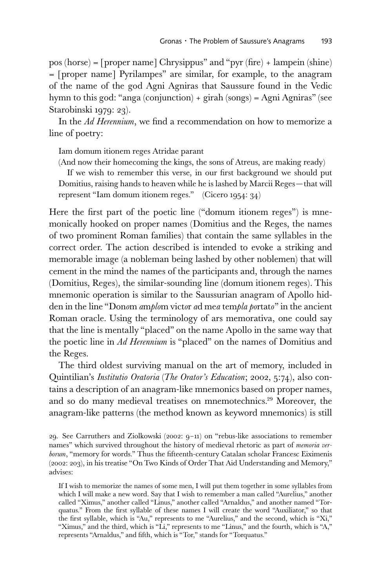$pos(horse) = [proper name] Chrysippus" and "pyr (fire) + lampein (shire)$ = [proper name] Pyrilampes" are similar, for example, to the anagram of the name of the god Agni Agniras that Saussure found in the Vedic hymn to this god: "anga (conjunction) + girah (songs) = Agni Agniras" (see Starobinski 1979: 23).

In the *Ad Herennium*, we find a recommendation on how to memorize a line of poetry:

Iam domum itionem reges Atridae parant

(And now their homecoming the kings, the sons of Atreus, are making ready)

If we wish to remember this verse, in our first background we should put Domitius, raising hands to heaven while he is lashed by Marcii Reges—that will represent "Iam domum itionem reges." (Cicero 1954: 34)

Here the first part of the poetic line ("domum itionem reges") is mnemonically hooked on proper names (Domitius and the Reges, the names of two prominent Roman families) that contain the same syllables in the correct order. The action described is intended to evoke a striking and memorable image (a nobleman being lashed by other noblemen) that will cement in the mind the names of the participants and, through the names (Domitius, Reges), the similar-sounding line (domum itionem reges). This mnemonic operation is similar to the Saussurian anagram of Apollo hidden in the line "Don*o*m *a*m*plo*m vict*o*r *a*d me*a* tem*pla po*rtat*o*" in the ancient Roman oracle. Using the terminology of ars memorativa, one could say that the line is mentally "placed" on the name Apollo in the same way that the poetic line in *Ad Herennium* is "placed" on the names of Domitius and the Reges.

The third oldest surviving manual on the art of memory, included in Quintilian's *Institutio Oratoria* (*The Orator's Education*; 2002, 5:74), also contains a description of an anagram-like mnemonics based on proper names, and so do many medieval treatises on mnemotechnics.29 Moreover, the anagram-like patterns (the method known as keyword mnemonics) is still

29. See Carruthers and Ziolkowski (2002: 9–11) on "rebus-like associations to remember names" which survived throughout the history of medieval rhetoric as part of *memoria verborum*, "memory for words." Thus the fifteenth-century Catalan scholar Francesc Eiximenis (2002: 203), in his treatise "On Two Kinds of Order That Aid Understanding and Memory," advises:

If I wish to memorize the names of some men, I will put them together in some syllables from which I will make a new word. Say that I wish to remember a man called "Aurelius," another called "Ximus," another called "Linus," another called "Arnaldus," and another named "Torquatus." From the first syllable of these names I will create the word "Auxiliator," so that the first syllable, which is "Au," represents to me "Aurelius," and the second, which is "Xi," "Ximus," and the third, which is "Li," represents to me "Linus," and the fourth, which is "A," represents "Arnaldus," and fifth, which is "Tor," stands for "Torquatus."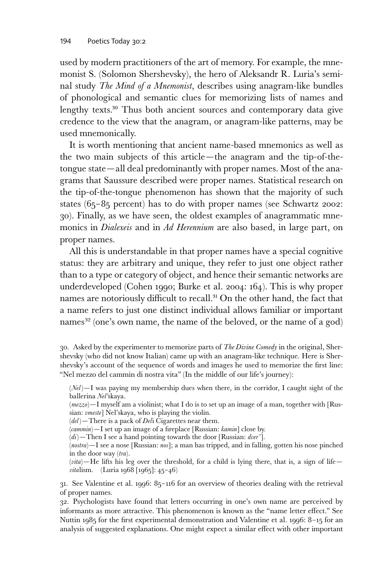used by modern practitioners of the art of memory. For example, the mnemonist S. (Solomon Shershevsky), the hero of Aleksandr R. Luria's seminal study *The Mind of a Mnemonist*, describes using anagram-like bundles of phonological and semantic clues for memorizing lists of names and lengthy texts.<sup>30</sup> Thus both ancient sources and contemporary data give credence to the view that the anagram, or anagram-like patterns, may be used mnemonically.

It is worth mentioning that ancient name-based mnemonics as well as the two main subjects of this article—the anagram and the tip-of-thetongue state—all deal predominantly with proper names. Most of the anagrams that Saussure described were proper names. Statistical research on the tip-of-the-tongue phenomenon has shown that the majority of such states (65–85 percent) has to do with proper names (see Schwartz 2002: 30). Finally, as we have seen, the oldest examples of anagrammatic mnemonics in *Dialexeis* and in *Ad Herennium* are also based, in large part, on proper names.

All this is understandable in that proper names have a special cognitive status: they are arbitrary and unique, they refer to just one object rather than to a type or category of object, and hence their semantic networks are underdeveloped (Cohen 1990; Burke et al. 2004: 164). This is why proper names are notoriously difficult to recall.<sup>31</sup> On the other hand, the fact that a name refers to just one distinct individual allows familiar or important names<sup>32</sup> (one's own name, the name of the beloved, or the name of a god)

(*Nel*)—I was paying my membership dues when there, in the corridor, I caught sight of the ballerina *Nel'*skaya.

(*mezzo*)—I myself am a violinist; what I do is to set up an image of a man, together with [Russian: *vmeste*] Nel'skaya, who is playing the violin.

(*del*)—There is a pack of *Del*i Cigarettes near them.

(*cammin*)—I set up an image of a fireplace [Russian: *kamin*] close by.

(*di*)—Then I see a hand pointing towards the door [Russian: *dver'*].

(*nostra*)—I see a nose [Russian: *nos*]; a man has tripped, and in falling, gotten his nose pinched in the door way (*tra*).

(*vita*)—He lifts his leg over the threshold, for a child is lying there, that is, a sign of life *vita*lism. (Luria 1968 [1965]: 45–46)

31. See Valentine et al. 1996: 85–116 for an overview of theories dealing with the retrieval of proper names.

32. Psychologists have found that letters occurring in one's own name are perceived by informants as more attractive. This phenomenon is known as the "name letter effect." See Nuttin 1985 for the first experimental demonstration and Valentine et al. 1996: 8–15 for an analysis of suggested explanations. One might expect a similar effect with other important

<sup>30.</sup> Asked by the experimenter to memorize parts of *The Divine Comedy* in the original, Shershevsky (who did not know Italian) came up with an anagram-like technique. Here is Shershevsky's account of the sequence of words and images he used to memorize the first line: "Nel mezzo del cammin di nostra vita" (In the middle of our life's journey):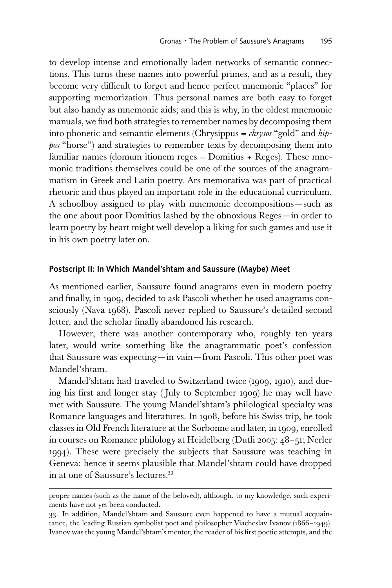to develop intense and emotionally laden networks of semantic connections. This turns these names into powerful primes, and as a result, they become very difficult to forget and hence perfect mnemonic "places" for supporting memorization. Thus personal names are both easy to forget but also handy as mnemonic aids; and this is why, in the oldest mnemonic manuals, we find both strategies to remember names by decomposing them into phonetic and semantic elements (Chrysippus = *chrysos* "gold" and *hippos* "horse") and strategies to remember texts by decomposing them into familiar names (domum itionem reges = Domitius + Reges). These mnemonic traditions themselves could be one of the sources of the anagrammatism in Greek and Latin poetry. Ars memorativa was part of practical rhetoric and thus played an important role in the educational curriculum. A schoolboy assigned to play with mnemonic decompositions—such as the one about poor Domitius lashed by the obnoxious Reges—in order to learn poetry by heart might well develop a liking for such games and use it in his own poetry later on.

#### **Postscript II: In Which Mandel'shtam and Saussure (Maybe) Meet**

As mentioned earlier, Saussure found anagrams even in modern poetry and finally, in 1909, decided to ask Pascoli whether he used anagrams consciously (Nava 1968). Pascoli never replied to Saussure's detailed second letter, and the scholar finally abandoned his research.

However, there was another contemporary who, roughly ten years later, would write something like the anagrammatic poet's confession that Saussure was expecting—in vain—from Pascoli. This other poet was Mandel'shtam.

Mandel'shtam had traveled to Switzerland twice (1909, 1910), and during his first and longer stay ( July to September 1909) he may well have met with Saussure. The young Mandel'shtam's philological specialty was Romance languages and literatures. In 1908, before his Swiss trip, he took classes in Old French literature at the Sorbonne and later, in 1909, enrolled in courses on Romance philology at Heidelberg (Dutli 2005: 48–51; Nerler 1994). These were precisely the subjects that Saussure was teaching in Geneva: hence it seems plausible that Mandel'shtam could have dropped in at one of Saussure's lectures.33

proper names (such as the name of the beloved), although, to my knowledge, such experiments have not yet been conducted.

<sup>33.</sup> In addition, Mandel'shtam and Saussure even happened to have a mutual acquaintance, the leading Russian symbolist poet and philosopher Viacheslav Ivanov (1866–1949). Ivanov was the young Mandel'shtam's mentor, the reader of his first poetic attempts, and the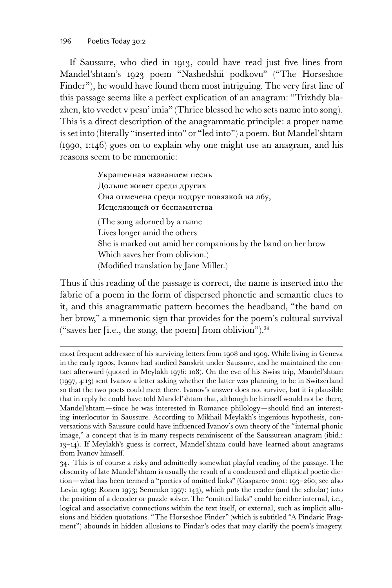If Saussure, who died in 1913, could have read just five lines from Mandel'shtam's 1923 poem "Nashedshii podkovu" ("The Horseshoe Finder"), he would have found them most intriguing. The very first line of this passage seems like a perfect explication of an anagram: "Trizhdy blazhen, kto vvedet v pesn' imia" (Thrice blessed he who sets name into song). This is a direct description of the anagrammatic principle: a proper name is set into (literally "inserted into" or "led into") a poem. But Mandel'shtam (1990, 1:146) goes on to explain why one might use an anagram, and his reasons seem to be mnemonic:

> Украшенная названием песнь Дольше живет среди других— Она отмечена среди подруг повязкой на лбу, Исцеляющей от беспамятства (The song adorned by a name Lives longer amid the others— She is marked out amid her companions by the band on her brow Which saves her from oblivion.) (Modified translation by Jane Miller.)

Thus if this reading of the passage is correct, the name is inserted into the fabric of a poem in the form of dispersed phonetic and semantic clues to it, and this anagrammatic pattern becomes the headband, "the band on her brow," a mnemonic sign that provides for the poem's cultural survival ("saves her [i.e., the song, the poem] from oblivion"). $34$ 

most frequent addressee of his surviving letters from 1908 and 1909. While living in Geneva in the early 1900s, Ivanov had studied Sanskrit under Saussure, and he maintained the contact afterward (quoted in Meylakh 1976: 108). On the eve of his Swiss trip, Mandel'shtam (1997, 4:13) sent Ivanov a letter asking whether the latter was planning to be in Switzerland so that the two poets could meet there. Ivanov's answer does not survive, but it is plausible that in reply he could have told Mandel'shtam that, although he himself would not be there, Mandel'shtam—since he was interested in Romance philology—should find an interesting interlocutor in Saussure. According to Mikhail Meylakh's ingenious hypothesis, conversations with Saussure could have influenced Ivanov's own theory of the "internal phonic image," a concept that is in many respects reminiscent of the Saussurean anagram (ibid.: 13–14). If Meylakh's guess is correct, Mandel'shtam could have learned about anagrams from Ivanov himself.

<sup>34.</sup> This is of course a risky and admittedly somewhat playful reading of the passage. The obscurity of late Mandel'shtam is usually the result of a condensed and elliptical poetic diction—what has been termed a "poetics of omitted links" (Gasparov 2001: 193–260; see also Levin 1969; Ronen 1973; Semenko 1997: 143), which puts the reader (and the scholar) into the position of a decoder or puzzle solver. The "omitted links" could be either internal, i.e., logical and associative connections within the text itself, or external, such as implicit allusions and hidden quotations. "The Horseshoe Finder" (which is subtitled "A Pindaric Fragment") abounds in hidden allusions to Pindar's odes that may clarify the poem's imagery.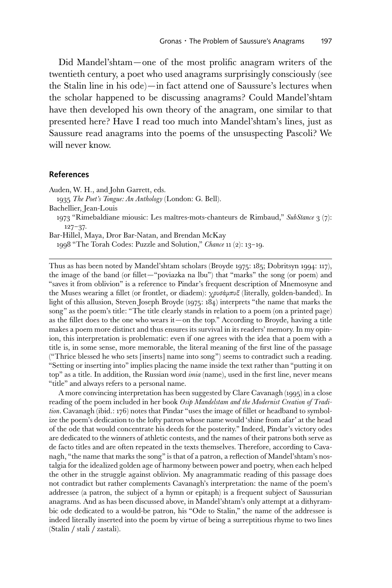Did Mandel'shtam—one of the most prolific anagram writers of the twentieth century, a poet who used anagrams surprisingly consciously (see the Stalin line in his ode)—in fact attend one of Saussure's lectures when the scholar happened to be discussing anagrams? Could Mandel'shtam have then developed his own theory of the anagram, one similar to that presented here? Have I read too much into Mandel'shtam's lines, just as Saussure read anagrams into the poems of the unsuspecting Pascoli? We will never know.

## **References**

Auden, W. H., and John Garrett, eds. 1935 *The Poet's Tongue: An Anthology* (London: G. Bell).

Bachellier, Jean-Louis

1973 "Rimebaldiane miousic: Les maîtres-mots-chanteurs de Rimbaud," *SubStance* 3 (7): 127–37.

Bar-Hillel, Maya, Dror Bar-Natan, and Brendan McKay

1998 "The Torah Codes: Puzzle and Solution," *Chance* 11 (2): 13–19.

Thus as has been noted by Mandel'shtam scholars (Broyde 1975: 185; Dobritsyn 1994: 117), the image of the band (or fillet—"poviazka na lbu") that "marks" the song (or poem) and "saves it from oblivion" is a reference to Pindar's frequent description of Mnemosyne and the Muses wearing a fillet (or frontlet, or diadem): χρυσάμπυξ (literally, golden-banded). In light of this allusion, Steven Joseph Broyde (1975: 184) interprets "the name that marks the song" as the poem's title: "The title clearly stands in relation to a poem (on a printed page) as the fillet does to the one who wears it—on the top." According to Broyde, having a title makes a poem more distinct and thus ensures its survival in its readers' memory. In my opinion, this interpretation is problematic: even if one agrees with the idea that a poem with a title is, in some sense, more memorable, the literal meaning of the first line of the passage ("Thrice blessed he who sets [inserts] name into song") seems to contradict such a reading. "Setting or inserting into" implies placing the name inside the text rather than "putting it on top" as a title. In addition, the Russian word *imia* (name), used in the first line, never means "title" and always refers to a personal name.

A more convincing interpretation has been suggested by Clare Cavanagh (1995) in a close reading of the poem included in her book *Osip Mandelstam and the Modernist Creation of Tradition*. Cavanagh (ibid.: 176) notes that Pindar "uses the image of fillet or headband to symbolize the poem's dedication to the lofty patron whose name would 'shine from afar' at the head of the ode that would concentrate his deeds for the posterity." Indeed, Pindar's victory odes are dedicated to the winners of athletic contests, and the names of their patrons both serve as de facto titles and are often repeated in the texts themselves. Therefore, according to Cavanagh, "the name that marks the song" is that of a patron, a reflection of Mandel'shtam's nostalgia for the idealized golden age of harmony between power and poetry, when each helped the other in the struggle against oblivion. My anagrammatic reading of this passage does not contradict but rather complements Cavanagh's interpretation: the name of the poem's addressee (a patron, the subject of a hymn or epitaph) is a frequent subject of Saussurian anagrams. And as has been discussed above, in Mandel'shtam's only attempt at a dithyrambic ode dedicated to a would-be patron, his "Ode to Stalin," the name of the addressee is indeed literally inserted into the poem by virtue of being a surreptitious rhyme to two lines (Stalin / stali / zastali).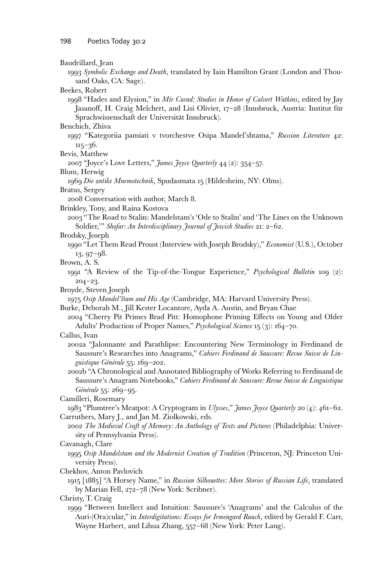Baudrillard, Jean 1993 *Symbolic Exchange and Death*, translated by Iain Hamilton Grant (London and Thousand Oaks, CA: Sage). Beekes, Robert 1998 "Hades and Elysion," in *Mír Curad: Studies in Honor of Calvert Watkins*, edited by Jay Jasanoff, H. Craig Melchert, and Lisi Olivier, 17–28 (Innsbruck, Austria: Institut für Sprachwissenschaft der Universität Innsbruck). Benchich, Zhiva 1997 "Kategoriia pamiati v tvorchestve Osipa Mandel'shtama," *Russian Literature* 42: 115–36. Bevis, Matthew 2007 "Joyce's Love Letters," *James Joyce Quarterly* 44 (2): 354–57. Blum, Herwig 1969 *Die antike Mnemotechnik*, Spudasmata 15 (Hildesheim, NY: Olms). Bratus, Sergey 2008 Conversation with author, March 8. Brinkley, Tony, and Raina Kostova 2003 "The Road to Stalin: Mandelstam's 'Ode to Stalin' and 'The Lines on the Unknown Soldier,'" *Shofar: An Interdisciplinary Journal of Jewish Studies* 21: 2–62. Brodsky, Joseph 1990 "Let Them Read Proust (Interview with Joseph Brodsky)," *Economist* (U.S.), October 13, 97–98. Brown, A. S. 1991 "A Review of the Tip-of-the-Tongue Experience," *Psychological Bulletin* 109 (2): 204–23. Broyde, Steven Joseph 1975 *Osip Mandel'štam and His Age* (Cambridge, MA: Harvard University Press). Burke, Deborah M., Jill Kester Locantore, Ayda A. Austin, and Bryan Chae 2004 "Cherry Pit Primes Brad Pitt: Homophone Priming Effects on Young and Older Adults' Production of Proper Names," *Psychological Science* 15 (3): 164–70. Callus, Ivan 2002a "Jalonnante and Parathlipse: Encountering New Terminology in Ferdinand de Saussure's Researches into Anagrams," *Cahiers Ferdinand de Saussure: Revue Suisse de Linguistique Générale* 55: 169–202. 2002b "A Chronological and Annotated Bibliography of Works Referring to Ferdinand de Saussure's Anagram Notebooks," *Cahiers Ferdinand de Saussure: Revue Suisse de Linguistique Générale* 55: 269–95. Camilleri, Rosemary 1983 "Plumtree's Meatpot: A Cryptogram in *Ulysses*," *James Joyce Quarterly* 20 (4): 461–62. Carruthers, Mary J., and Jan M. Ziolkowski, eds. 2002 *The Medieval Craft of Memory: An Anthology of Texts and Pictures* (Philadelphia: University of Pennsylvania Press). Cavanagh, Clare 1995 *Osip Mandelstam and the Modernist Creation of Tradition* (Princeton, NJ: Princeton University Press). Chekhov, Anton Pavlovich 1915 [1885] "A Horsey Name," in *Russian Silhouettes: More Stories of Russian Life*, translated by Marian Fell, 272–78 (New York: Scribner). Christy, T. Craig 1999 "Between Intellect and Intuition: Saussure's 'Anagrams' and the Calculus of the Auri-(Ora)cular," in *Interdigitations: Essays for Irmengard Rauch*, edited by Gerald F. Carr,

Wayne Harbert, and Lihua Zhang, 557–68 (New York: Peter Lang).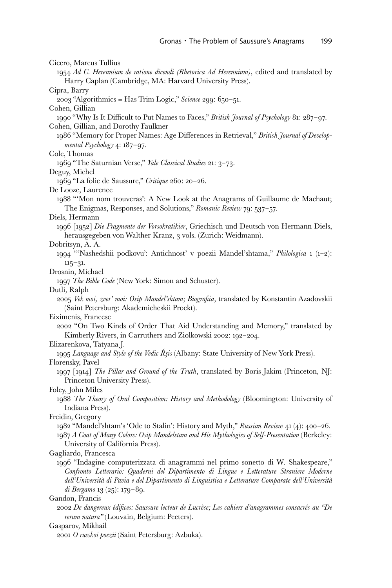| Cicero, Marcus Tullius                                                                                                                                                                                                                                                              |
|-------------------------------------------------------------------------------------------------------------------------------------------------------------------------------------------------------------------------------------------------------------------------------------|
| 1954 Ad C. Herennium de ratione dicendi (Rhetorica Ad Herennium), edited and translated by<br>Harry Caplan (Cambridge, MA: Harvard University Press).                                                                                                                               |
| Cipra, Barry                                                                                                                                                                                                                                                                        |
| 2003 "Algorithmics = Has Trim Logic," Science 299: 650-51.                                                                                                                                                                                                                          |
| Cohen, Gillian                                                                                                                                                                                                                                                                      |
| 1990 "Why Is It Difficult to Put Names to Faces," British Journal of Psychology 81: 287-97.                                                                                                                                                                                         |
| Cohen, Gillian, and Dorothy Faulkner                                                                                                                                                                                                                                                |
| 1986 "Memory for Proper Names: Age Differences in Retrieval," British Journal of Develop-<br>mental Psychology $4: 187-97$ .                                                                                                                                                        |
| Cole, Thomas                                                                                                                                                                                                                                                                        |
| 1969 "The Saturnian Verse," Yale Classical Studies 21: 3-73.                                                                                                                                                                                                                        |
| Deguy, Michel                                                                                                                                                                                                                                                                       |
| 1969 "La folie de Saussure," Critique 260: 20-26.                                                                                                                                                                                                                                   |
| De Looze, Laurence                                                                                                                                                                                                                                                                  |
| 1988 "'Mon nom trouveras': A New Look at the Anagrams of Guillaume de Machaut;                                                                                                                                                                                                      |
| The Enigmas, Responses, and Solutions," Romanic Review 79: 537-57.                                                                                                                                                                                                                  |
| Diels, Hermann                                                                                                                                                                                                                                                                      |
| 1996 [1952] <i>Die Fragmente der Vorsokratikier</i> , Griechisch und Deutsch von Hermann Diels,<br>herausgegeben von Walther Kranz, 3 vols. (Zurich: Weidmann).                                                                                                                     |
| Dobritsyn, A. A.                                                                                                                                                                                                                                                                    |
| 1994 "'Nashedshii podkovu': Antichnost' v poezii Mandel'shtama," Philologica 1 (1-2):                                                                                                                                                                                               |
| $115 - 31.$                                                                                                                                                                                                                                                                         |
| Drosnin, Michael                                                                                                                                                                                                                                                                    |
| 1997 The Bible Code (New York: Simon and Schuster).                                                                                                                                                                                                                                 |
| Dutli, Ralph                                                                                                                                                                                                                                                                        |
| 2005 Vek moi, zver' moi: Osip Mandel'shtam; Biografiia, translated by Konstantin Azadovskii                                                                                                                                                                                         |
| (Saint Petersburg: Akademicheskii Proekt).                                                                                                                                                                                                                                          |
| Eiximenis, Francesc                                                                                                                                                                                                                                                                 |
| 2002 "On Two Kinds of Order That Aid Understanding and Memory," translated by<br>Kimberly Rivers, in Carruthers and Ziolkowski 2002: 192-204.                                                                                                                                       |
| Elizarenkova, Tatyana J.                                                                                                                                                                                                                                                            |
| 1995 Language and Style of the Vedic Rsis (Albany: State University of New York Press).                                                                                                                                                                                             |
| Florensky, Pavel                                                                                                                                                                                                                                                                    |
| 1997 [1914] The Pillar and Ground of the Truth, translated by Boris Jakim (Princeton, NJ:<br>Princeton University Press).                                                                                                                                                           |
| Foley, John Miles                                                                                                                                                                                                                                                                   |
| 1988 The Theory of Oral Composition: History and Methodology (Bloomington: University of                                                                                                                                                                                            |
| Indiana Press).                                                                                                                                                                                                                                                                     |
| Freidin, Gregory                                                                                                                                                                                                                                                                    |
| 1982 "Mandel'shtam's 'Ode to Stalin': History and Myth," Russian Review 41 (4): 400-26.                                                                                                                                                                                             |
| 1987 A Coat of Many Colors: Osip Mandelstam and His Mythologies of Self-Presentation (Berkeley:                                                                                                                                                                                     |
| University of California Press).                                                                                                                                                                                                                                                    |
| Gagliardo, Francesca                                                                                                                                                                                                                                                                |
| 1996 "Indagine computerizzata di anagrammi nel primo sonetto di W. Shakespeare,"<br>Confronto Letterario: Quaderni del Dipartimento di Lingue e Letterature Straniere Moderne<br>dell'Università di Pavia e del Dipartimento di Linguistica e Letterature Comparate dell'Università |
| di Bergamo 13 (25): 179-89.                                                                                                                                                                                                                                                         |
| Gandon, Francis                                                                                                                                                                                                                                                                     |
| 2002 De dangereux édifices: Saussure lecteur de Lucrèce; Les cahiers d'anagrammes consacrés au "De<br><i>rerum natura</i> " (Louvain, Belgium: Peeters).                                                                                                                            |
| Gasparov, Mikhail                                                                                                                                                                                                                                                                   |
| 2001 O russkoi poezii (Saint Petersburg: Azbuka).                                                                                                                                                                                                                                   |
|                                                                                                                                                                                                                                                                                     |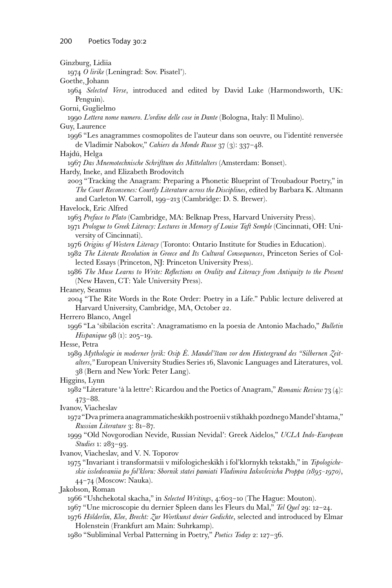| Ginzburg, Lidiia                                                                                                                                                                                                                                            |
|-------------------------------------------------------------------------------------------------------------------------------------------------------------------------------------------------------------------------------------------------------------|
| 1974 O lirike (Leningrad: Sov. Pisatel').                                                                                                                                                                                                                   |
| Goethe, Johann                                                                                                                                                                                                                                              |
| 1964 Selected Verse, introduced and edited by David Luke (Harmondsworth, UK:                                                                                                                                                                                |
| Penguin).                                                                                                                                                                                                                                                   |
| Gorni, Guglielmo                                                                                                                                                                                                                                            |
| 1990 Lettera nome numero. L'ordine delle cose in Dante (Bologna, Italy: Il Mulino).                                                                                                                                                                         |
| Guy, Laurence                                                                                                                                                                                                                                               |
| 1996 "Les anagrammes cosmopolites de l'auteur dans son oeuvre, ou l'identité renversée                                                                                                                                                                      |
| de Vladimir Nabokov," Cahiers du Monde Russe 37 (3): 337-48.                                                                                                                                                                                                |
| Hajdú, Helga                                                                                                                                                                                                                                                |
| 1967 Das Mnemotechnische Schrifttum des Mittelalters (Amsterdam: Bonset).                                                                                                                                                                                   |
| Hardy, Ineke, and Elizabeth Brodovitch                                                                                                                                                                                                                      |
| 2003 "Tracking the Anagram: Preparing a Phonetic Blueprint of Troubadour Poetry," in<br><i>The Court Reconvenes: Courtly Literature across the Disciplines, edited by Barbara K. Altmann</i><br>and Carleton W. Carroll, 199-213 (Cambridge: D. S. Brewer). |
| Havelock, Eric Alfred                                                                                                                                                                                                                                       |
| 1963 Preface to Plato (Cambridge, MA: Belknap Press, Harvard University Press).                                                                                                                                                                             |
| 1971 Prologue to Greek Literacy: Lectures in Memory of Louise Taft Semple (Cincinnati, OH: Uni-                                                                                                                                                             |
| versity of Cincinnati).                                                                                                                                                                                                                                     |
| 1976 Origins of Western Literacy (Toronto: Ontario Institute for Studies in Education).                                                                                                                                                                     |
| 1982 The Literate Revolution in Greece and Its Cultural Consequences, Princeton Series of Col-                                                                                                                                                              |
| lected Essays (Princeton, NJ: Princeton University Press).                                                                                                                                                                                                  |
| 1986 The Muse Learns to Write: Reflections on Orality and Literacy from Antiquity to the Present                                                                                                                                                            |
| (New Haven, CT: Yale University Press).                                                                                                                                                                                                                     |
| Heaney, Seamus                                                                                                                                                                                                                                              |
| 2004 "The Rite Words in the Rote Order: Poetry in a Life." Public lecture delivered at<br>Harvard University, Cambridge, MA, October 22.                                                                                                                    |
| Herrero Blanco, Angel                                                                                                                                                                                                                                       |
| 1996 "La 'sibilación escrita': Anagramatismo en la poesía de Antonio Machado," <i>Bulletin</i>                                                                                                                                                              |
| <i>Hispanique</i> $98$ (1): $205 - 19$ .                                                                                                                                                                                                                    |
| Hesse, Petra                                                                                                                                                                                                                                                |
| 1989 Mythologie in moderner lyrik: Osip E. Mandel'štam vor dem Hintergrund des "Silbernen Zeit-<br>alters," European University Studies Series 16, Slavonic Languages and Literatures, vol.                                                                 |
| 38 (Bern and New York: Peter Lang).                                                                                                                                                                                                                         |
| Higgins, Lynn                                                                                                                                                                                                                                               |
| 1982 "Literature 'à la lettre': Ricardou and the Poetics of Anagram," Romanic Review 73 (4):                                                                                                                                                                |
| $473 - 88.$                                                                                                                                                                                                                                                 |
| Ivanov, Viacheslav<br>1972 "Dva primera anagrammaticheskikh postroenii v stikhakh pozdnego Mandel'shtama,"                                                                                                                                                  |
| Russian Literature 3: 81-87.                                                                                                                                                                                                                                |
| 1999 "Old Novgorodian Nevide, Russian Nevidal': Greek Aidelos," UCLA Indo-European                                                                                                                                                                          |
| <i>Studies</i> 1: 283-93.                                                                                                                                                                                                                                   |
| Ivanov, Viacheslav, and V. N. Toporov                                                                                                                                                                                                                       |
| 1975 "Invariant i transformatsii v mifologicheskikh i fol'klornykh tekstakh," in Tipologiche-                                                                                                                                                               |
| skie issledovaniia po fol'kloru: Sbornik statei pamiati Vladimira Iakovlevicha Proppa (1895-1970),                                                                                                                                                          |
| 44-74 (Moscow: Nauka).                                                                                                                                                                                                                                      |
| Jakobson, Roman                                                                                                                                                                                                                                             |
| 1966 "Ushchekotal skacha," in Selected Writings, 4:603-10 (The Hague: Mouton).                                                                                                                                                                              |
| 1967 "Une microscopie du dernier Spleen dans les Fleurs du Mal," Tel Quel 29: 12-24.                                                                                                                                                                        |
| 1976 Hölderlin, Klee, Brecht: Zur Wortkunst dreier Gedichte, selected and introduced by Elmar                                                                                                                                                               |
| Holenstein (Frankfurt am Main: Suhrkamp).                                                                                                                                                                                                                   |

1980 "Subliminal Verbal Patterning in Poetry," *Poetics Today* 2: 127–36.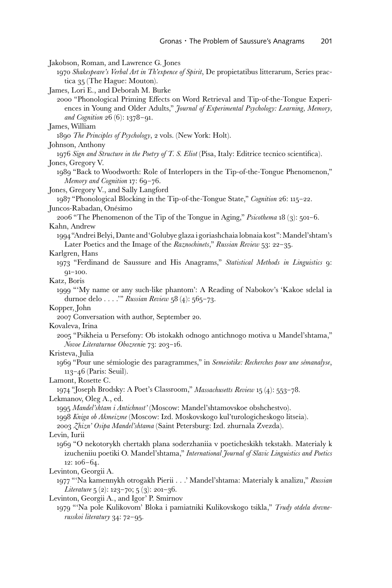Jakobson, Roman, and Lawrence G. Jones 1970 *Shakespeare's Verbal Art in Th'expence of Spirit*, De propietatibus litterarum, Series practica 35 (The Hague: Mouton). James, Lori E., and Deborah M. Burke 2000 "Phonological Priming Effects on Word Retrieval and Tip-of-the-Tongue Experiences in Young and Older Adults," *Journal of Experimental Psychology: Learning, Memory, and Cognition* 26 (6): 1378–91. James, William 1890 *The Principles of Psychology*, 2 vols. (New York: Holt). Johnson, Anthony 1976 *Sign and Structure in the Poetry of T. S. Eliot* (Pisa, Italy: Editrice tecnico scientifica). Jones, Gregory V. 1989 "Back to Woodworth: Role of Interlopers in the Tip-of-the-Tongue Phenomenon," *Memory and Cognition* 17: 69–76. Jones, Gregory V., and Sally Langford 1987 "Phonological Blocking in the Tip-of-the-Tongue State," *Cognition* 26: 115–22. Juncos-Rabadan, Onésimo 2006 "The Phenomenon of the Tip of the Tongue in Aging," *Psicothema* 18 (3): 501–6. Kahn, Andrew 1994 "Andrei Belyi, Dante and 'Golubye glaza i goriashchaia lobnaia kost": Mandel'shtam's Later Poetics and the Image of the *Raznochinets*," *Russian Review* 53: 22–35. Karlgren, Hans 1973 "Ferdinand de Saussure and His Anagrams," *Statistical Methods in Linguistics* 9: 91–100. Katz, Boris 1999 "'My name or any such-like phantom': A Reading of Nabokov's 'Kakoe sdelal ia durnoe delo . . . .'" *Russian Review* 58 (4): 565–73. Kopper, John 2007 Conversation with author, September 20. Kovaleva, Irina 2005 "Psikheia u Persefony: Ob istokakh odnogo antichnogo motiva u Mandel'shtama," *Novoe Literaturnoe Obozreni*e 73: 203–16. Kristeva, Julia 1969 "Pour une sémiologie des paragrammes," in *Semeiotike: Recherches pour une sémanalyse*, 113–46 (Paris: Seuil). Lamont, Rosette C. 1974 "Joseph Brodsky: A Poet's Classroom," *Massachusetts Review* 15 (4): 553–78. Lekmanov, Oleg A., ed. 1995 *Mandel'shtam i Antichnost'* (Moscow: Mandel'shtamovskoe obshchestvo). 1998 *Kniga ob Akmeizme* (Moscow: Izd. Moskovskogo kul'turologicheskogo litseia). 2003 *Zhizn' Osipa Mandel'shtama* (Saint Petersburg: Izd. zhurnala Zvezda). Levin, Iurii 1969 "O nekotorykh chertakh plana soderzhaniia v poeticheskikh tekstakh. Materialy k izucheniiu poetiki O. Mandel'shtama," *International Journal of Slavic Linguistics and Poetics* 12: 106–64. Levinton, Georgii A. 1977 "'Na kamennykh otrogakh Pierii . . .' Mandel'shtama: Materialy k analizu," *Russian Literature* 5 (2): 123–70; 5 (3): 201–36. Levinton, Georgii A., and Igor' P. Smirnov 1979 "'Na pole Kulikovom' Bloka i pamiatniki Kulikovskogo tsikla," *Trudy otdela drevnerusskoi literatury* 34: 72–95.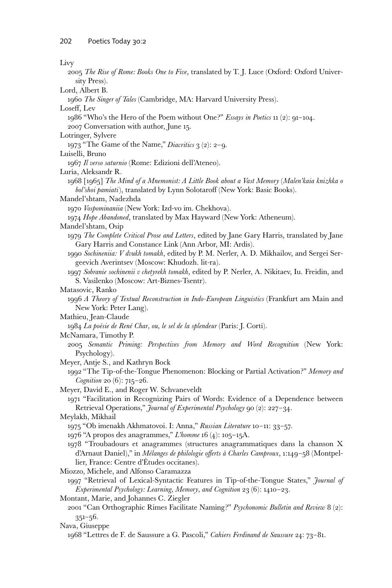| Livy                                                                                                                                                                      |
|---------------------------------------------------------------------------------------------------------------------------------------------------------------------------|
| 2005 The Rise of Rome: Books One to Five, translated by T. J. Luce (Oxford: Oxford Univer-<br>sity Press).                                                                |
| Lord, Albert B.                                                                                                                                                           |
| 1960 The Singer of Tales (Cambridge, MA: Harvard University Press).                                                                                                       |
| Loseff, Lev                                                                                                                                                               |
| 1986 "Who's the Hero of the Poem without One?" Essays in Poetics 11 (2): 91-104.                                                                                          |
| 2007 Conversation with author, June 15.                                                                                                                                   |
| Lotringer, Sylvere                                                                                                                                                        |
| 1973 "The Game of the Name," Diacritics 3 (2): 2-9.                                                                                                                       |
| Luiselli, Bruno                                                                                                                                                           |
| 1967 Il verso saturnio (Rome: Edizioni dell'Ateneo).                                                                                                                      |
| Luria, Aleksandr R.                                                                                                                                                       |
| 1968 [1965] The Mind of a Mnemonist: A Little Book about a Vast Memory (Malen'kaia knizhka o<br>bol'shoi pamiati), translated by Lynn Solotaroff (New York: Basic Books). |
| Mandel'shtam, Nadezhda                                                                                                                                                    |
| 1970 Vospominaniia (New York: Izd-vo im. Chekhova).                                                                                                                       |
| 1974 Hope Abandoned, translated by Max Hayward (New York: Atheneum).                                                                                                      |
| Mandel'shtam, Osip                                                                                                                                                        |
| 1979 The Complete Critical Prose and Letters, edited by Jane Gary Harris, translated by Jane<br>Gary Harris and Constance Link (Ann Arbor, MI: Ardis).                    |
| 1990 Sochineniia: V dvukh tomakh, edited by P. M. Nerler, A. D. Mikhailov, and Sergei Ser-                                                                                |
| geevich Averintsev (Moscow: Khudozh. lit-ra).                                                                                                                             |
| 1997 Sobranie sochinenii v chetyrekh tomakh, edited by P. Nerler, A. Nikitaev, Iu. Freidin, and<br>S. Vasilenko (Moscow: Art-Biznes-Tsentr).                              |
| Matasovic, Ranko                                                                                                                                                          |
| 1996 A Theory of Textual Reconstruction in Indo-European Linguistics (Frankfurt am Main and                                                                               |
| New York: Peter Lang).                                                                                                                                                    |
| Mathieu, Jean-Claude                                                                                                                                                      |
| 1984 La poésie de René Char, ou, le sel de la splendeur (Paris: J. Corti).                                                                                                |
| McNamara, Timothy P.                                                                                                                                                      |
| 2005 Semantic Priming: Perspectives from Memory and Word Recognition (New York:<br>Psychology).                                                                           |
| Meyer, Antje S., and Kathryn Bock                                                                                                                                         |
| 1992 "The Tip-of-the-Tongue Phenomenon: Blocking or Partial Activation?" Memory and                                                                                       |
| <i>Cognition</i> 20 (6): $715 - 26$ .                                                                                                                                     |
| Meyer, David E., and Roger W. Schvaneveldt                                                                                                                                |
| 1971 "Facilitation in Recognizing Pairs of Words: Evidence of a Dependence between                                                                                        |
| Retrieval Operations," <i>Journal of Experimental Psychology</i> 90 (2): 227-34.                                                                                          |
| Meylakh, Mikhail                                                                                                                                                          |
| 1975 "Ob imenakh Akhmatovoi. I: Anna," Russian Literature 10-11: 33-57.                                                                                                   |
| 1976 "A propos des anagrammes," L'homme 16 (4): 105-15A.                                                                                                                  |
| 1978 "Troubadours et anagrammes (structures anagrammatiques dans la chanson X                                                                                             |
| d'Arnaut Daniel)," in Mélanges de philologie offerts à Charles Camproux, 1:149-58 (Montpel-                                                                               |
| lier, France: Centre d'Études occitanes).                                                                                                                                 |
| Miozzo, Michele, and Alfonso Caramazza                                                                                                                                    |
| 1997 "Retrieval of Lexical-Syntactic Features in Tip-of-the-Tongue States," Journal of                                                                                    |
| Experimental Psychology: Learning, Memory, and Cognition 23 (6): $1410-23$ .                                                                                              |
| Montant, Marie, and Johannes C. Ziegler                                                                                                                                   |
| 2001 "Can Orthographic Rimes Facilitate Naming?" Psychonomic Bulletin and Review 8 (2):                                                                                   |
| $351 - 56.$                                                                                                                                                               |
| Nava, Giuseppe                                                                                                                                                            |
| 1968 "Lettres de F. de Saussure a G. Pascoli," Cahiers Ferdinand de Saussure 24: 73-81.                                                                                   |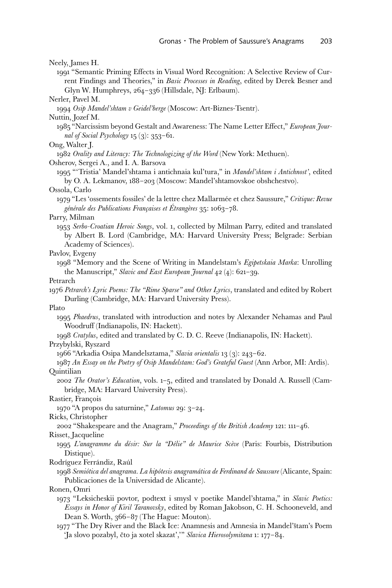| Neely, James H.                                                                                                                                                                                      |
|------------------------------------------------------------------------------------------------------------------------------------------------------------------------------------------------------|
| 1991 "Semantic Priming Effects in Visual Word Recognition: A Selective Review of Cur-                                                                                                                |
| rent Findings and Theories," in Basic Processes in Reading, edited by Derek Besner and                                                                                                               |
| Glyn W. Humphreys, 264-336 (Hillsdale, NJ: Erlbaum).                                                                                                                                                 |
| Nerler, Pavel M.                                                                                                                                                                                     |
| 1994 Osip Mandel'shtam v Geidel'berge (Moscow: Art-Biznes-Tsentr).                                                                                                                                   |
| Nuttin, Jozef M.                                                                                                                                                                                     |
| 1985 "Narcissism beyond Gestalt and Awareness: The Name Letter Effect," European Jour-<br>nal of Social Psychology $15(3)$ : $353-61$ .                                                              |
| Ong, Walter J.                                                                                                                                                                                       |
| 1982 Orality and Literacy: The Technologizing of the Word (New York: Methuen).                                                                                                                       |
| Osherov, Sergei A., and I. A. Barsova                                                                                                                                                                |
| 1995 "Tristia' Mandel'shtama i antichnaia kul'tura," in Mandel'shtam i Antichnost', edited                                                                                                           |
| by O. A. Lekmanov, 188-203 (Moscow: Mandel'shtamovskoe obshchestvo).<br>Ossola, Carlo                                                                                                                |
| 1979 "Les 'ossements fossiles' de la lettre chez Mallarmée et chez Saussure," Critique: Revue                                                                                                        |
| générale des Publications Françaises et Étrangères 35: 1063-78.                                                                                                                                      |
| Parry, Milman                                                                                                                                                                                        |
| 1953 Serbo-Croatian Heroic Songs, vol. 1, collected by Milman Parry, edited and translated<br>by Albert B. Lord (Cambridge, MA: Harvard University Press; Belgrade: Serbian<br>Academy of Sciences). |
| Pavlov, Evgeny                                                                                                                                                                                       |
| 1998 "Memory and the Scene of Writing in Mandelstam's Egipetskaia Marka: Unrolling<br>the Manuscript," Slavic and East European Journal 42 (4): $621-39$ .                                           |
| Petrarch                                                                                                                                                                                             |
| 1976 Petrarch's Lyric Poems: The "Rime Sparse" and Other Lyrics, translated and edited by Robert<br>Durling (Cambridge, MA: Harvard University Press).                                               |
| Plato                                                                                                                                                                                                |
| 1995 Phaedrus, translated with introduction and notes by Alexander Nehamas and Paul<br>Woodruff (Indianapolis, IN: Hackett).                                                                         |
| 1998 Cratylus, edited and translated by C. D. C. Reeve (Indianapolis, IN: Hackett).                                                                                                                  |
| Przybylski, Ryszard                                                                                                                                                                                  |
| 1966 "Arkadia Osipa Mandelsztama," Slavia orientalis 13 (3): 243-62.                                                                                                                                 |
| 1987 An Essay on the Poetry of Osip Mandelstam: God's Grateful Guest (Ann Arbor, MI: Ardis).                                                                                                         |
| Quintilian                                                                                                                                                                                           |
| 2002 The Orator's Education, vols. 1-5, edited and translated by Donald A. Russell (Cam-<br>bridge, MA: Harvard University Press).                                                                   |
| Rastier, François                                                                                                                                                                                    |
| 1970 "A propos du saturnine," Latomus 29: 3-24.                                                                                                                                                      |
| Ricks, Christopher                                                                                                                                                                                   |
| 2002 "Shakespeare and the Anagram," Proceedings of the British Academy 121: 111-46.                                                                                                                  |
| Risset, Jacqueline                                                                                                                                                                                   |
| 1995 L'anagramme du désir: Sur la "Délie" de Maurice Scève (Paris: Fourbis, Distribution<br>Distique).                                                                                               |
| Rodríguez Ferrándiz, Raúl                                                                                                                                                                            |
| 1998 Semiótica del anagrama. La hipótesis anagramática de Ferdinand de Saussure (Alicante, Spain:                                                                                                    |

Publicaciones de la Universidad de Alicante).

Ronen, Omri

- 1973 "Leksicheskii povtor, podtext i smysl v poetike Mandel'shtama," in *Slavic Poetics: Essays in Honor of Kiril Taranovsky*, edited by Roman Jakobson, C. H. Schooneveld, and Dean S. Worth, 366–87 (The Hague: Mouton).
- 1977 "The Dry River and the Black Ice: Anamnesis and Amnesia in Mandel'štam's Poem 'Ja slovo pozabyl, čto ja xotel skazat','" *Slavica Hierosolymitana* 1: 177–84.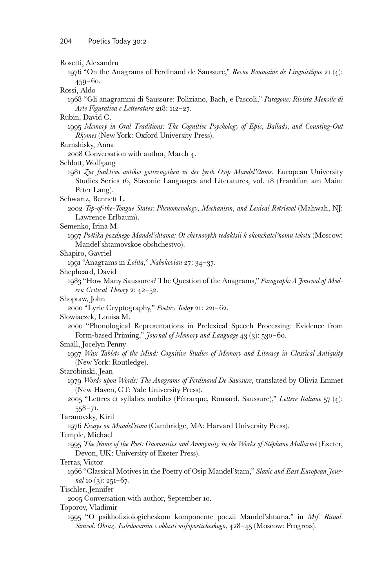Rosetti, Alexandru 1976 "On the Anagrams of Ferdinand de Saussure," *Revue Roumaine de Linguistique* 21 (4): 459–60. Rossi, Aldo 1968 "Gli anagrammi di Saussure: Poliziano, Bach, e Pascoli," *Paragone: Rivista Mensile di Arte Figurativa e Letteratura* 218: 112–27. Rubin, David C. 1995 *Memory in Oral Traditions: The Cognitive Psychology of Epic, Ballads, and Counting-Out Rhymes* (New York: Oxford University Press). Rumshisky, Anna 2008 Conversation with author, March 4. Schlott, Wolfgang 1981 *Zur funktion antiker göttermythen in der lyrik Osip Mandel'štams*. European University Studies Series 16, Slavonic Languages and Literatures, vol. 18 (Frankfurt am Main: Peter Lang). Schwartz, Bennett L. 2002 *Tip-of-the-Tongue States: Phenomenology, Mechanism, and Lexical Retrieval* (Mahwah, NJ: Lawrence Erlbaum). Semenko, Irina M. 1997 *Poėtika pozdnego Mandel'shtama: Ot chernovykh redaktsii k okonchatel'nomu tekstu* (Moscow: Mandel'shtamovskoe obshchestvo). Shapiro, Gavriel 1991 "Anagrams in *Lolita*," *Nabokovian* 27: 34–37. Shepheard, David 1983 "How Many Saussures? The Question of the Anagrams," *Paragraph: A Journal of Modern Critical Theory* 2: 42–52. Shoptaw, John 2000 "Lyric Cryptography," *Poetics Today* 21: 221–62. Slowiaczek, Louisa M. 2000 "Phonological Representations in Prelexical Speech Processing: Evidence from Form-based Priming," *Journal of Memory and Language* 43 (3): 530–60. Small, Jocelyn Penny 1997 *Wax Tablets of the Mind: Cognitive Studies of Memory and Literacy in Classical Antiquity* (New York: Routledge). Starobinski, Jean 1979 *Words upon Words: The Anagrams of Ferdinand De Saussure*, translated by Olivia Emmet (New Haven, CT: Yale University Press). 2005 "Lettres et syllabes mobiles (Pétrarque, Ronsard, Saussure)," *Lettere Italiane* 57 (4): 558–71. Taranovsky, Kiril 1976 *Essays on Mandel'stam* (Cambridge, MA: Harvard University Press). Temple, Michael 1995 *The Name of the Poet: Onomastics and Anonymity in the Works of Stéphane Mallarmé* (Exeter, Devon, UK: University of Exeter Press). Terras, Victor 1966 "Classical Motives in the Poetry of Osip Mandel'štam," *Slavic and East European Journal* 10 (3): 251–67. Tischler, Jennifer 2005 Conversation with author, September 10. Toporov, Vladimir 1995 "O psikhofiziologicheskom komponente poezii Mandel'shtama," in *Mif. Ritual. Simvol. Obraz. Issledovaniia v oblasti mifopoeticheskogo*, 428–45 (Moscow: Progress).